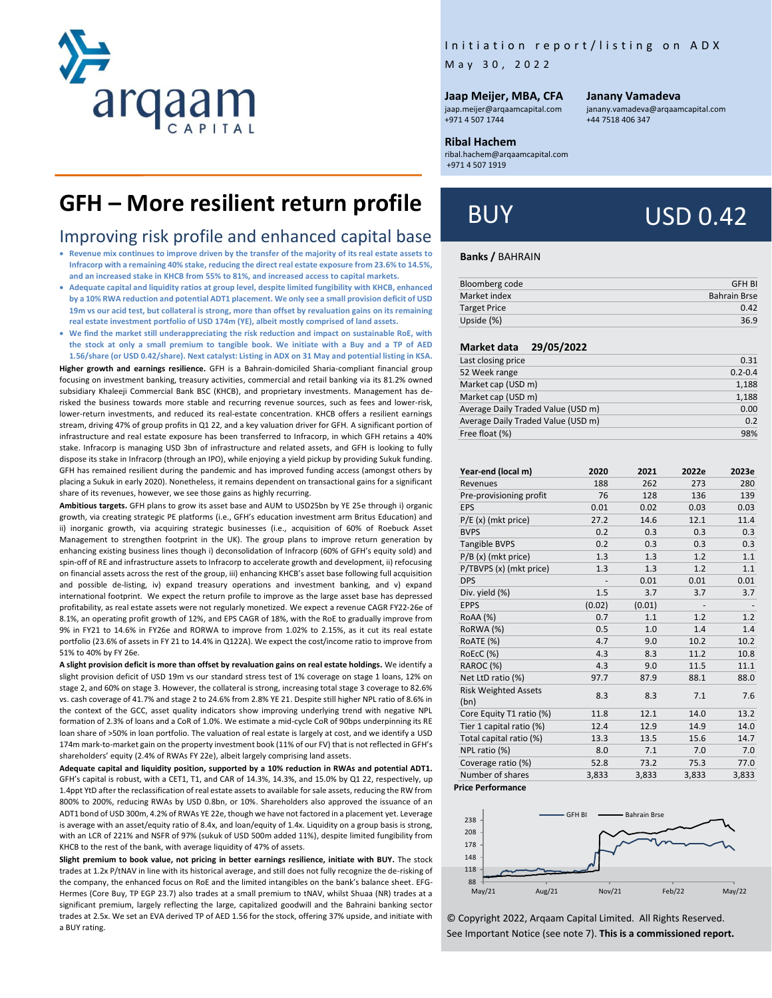

# Initiation report/listing on ADX

M a y 3 0 , 2022

#### **Jaap Meijer, MBA, CFA**

jaap.meijer@arqaamcapital.com +971 4 507 1744

#### **Janany Vamadeva**

[janany.vamadeva@arqaamcapital.com](mailto:janany.vamadeva@arqaamcapital.com) +44 7518 406 347

#### **Ribal Hachem**

ribal.hachem@arqaamcapital.com +971 4 507 1919

# **GFH – More resilient return profile**

# Improving risk profile and enhanced capital base

- **Revenue mix continues to improve driven by the transfer of the majority of its real estate assets to Infracorp with a remaining 40% stake, reducing the direct real estate exposure from 23.6% to 14.5%, and an increased stake in KHCB from 55% to 81%, and increased access to capital markets.**
- **Adequate capital and liquidity ratios at group level, despite limited fungibility with KHCB, enhanced by a 10% RWA reduction and potential ADT1 placement. We only see a small provision deficit of USD 19m vs our acid test, but collateral is strong, more than offset by revaluation gains on its remaining real estate investment portfolio of USD 174m (YE), albeit mostly comprised of land assets.**
- **We find the market still underappreciating the risk reduction and impact on sustainable RoE, with the stock at only a small premium to tangible book. We initiate with a Buy and a TP of AED 1.56/share (or USD 0.42/share). Next catalyst: Listing in ADX on 31 May and potential listing in KSA.**

**Higher growth and earnings resilience.** GFH is a Bahrain-domiciled Sharia-compliant financial group focusing on investment banking, treasury activities, commercial and retail banking via its 81.2% owned subsidiary Khaleeji Commercial Bank BSC (KHCB), and proprietary investments. Management has derisked the business towards more stable and recurring revenue sources, such as fees and lower-risk, lower-return investments, and reduced its real-estate concentration. KHCB offers a resilient earnings stream, driving 47% of group profits in Q1 22, and a key valuation driver for GFH. A significant portion of infrastructure and real estate exposure has been transferred to Infracorp, in which GFH retains a 40% stake. Infracorp is managing USD 3bn of infrastructure and related assets, and GFH is looking to fully dispose its stake in Infracorp (through an IPO), while enjoying a yield pickup by providing Sukuk funding. GFH has remained resilient during the pandemic and has improved funding access (amongst others by placing a Sukuk in early 2020). Nonetheless, it remains dependent on transactional gains for a significant share of its revenues, however, we see those gains as highly recurring.

**Ambitious targets.** GFH plans to grow its asset base and AUM to USD25bn by YE 25e through i) organic growth, via creating strategic PE platforms (i.e., GFH's education investment arm Britus Education) and ii) inorganic growth, via acquiring strategic businesses (i.e., acquisition of 60% of Roebuck Asset Management to strengthen footprint in the UK). The group plans to improve return generation by enhancing existing business lines though i) deconsolidation of Infracorp (60% of GFH's equity sold) and spin-off of RE and infrastructure assets to Infracorp to accelerate growth and development, ii) refocusing on financial assets across the rest of the group, iii) enhancing KHCB's asset base following full acquisition and possible de-listing, iv) expand treasury operations and investment banking, and v) expand international footprint. We expect the return profile to improve as the large asset base has depressed profitability, as real estate assets were not regularly monetized. We expect a revenue CAGR FY22-26e of 8.1%, an operating profit growth of 12%, and EPS CAGR of 18%, with the RoE to gradually improve from 9% in FY21 to 14.6% in FY26e and RORWA to improve from 1.02% to 2.15%, as it cut its real estate portfolio (23.6% of assets in FY 21 to 14.4% in Q122A). We expect the cost/income ratio to improve from 51% to 40% by FY 26e.

**A slight provision deficit is more than offset by revaluation gains on real estate holdings.** We identify a slight provision deficit of USD 19m vs our standard stress test of 1% coverage on stage 1 loans, 12% on stage 2, and 60% on stage 3. However, the collateral is strong, increasing total stage 3 coverage to 82.6% vs. cash coverage of 41.7% and stage 2 to 24.6% from 2.8% YE 21. Despite still higher NPL ratio of 8.6% in the context of the GCC, asset quality indicators show improving underlying trend with negative NPL formation of 2.3% of loans and a CoR of 1.0%. We estimate a mid-cycle CoR of 90bps underpinning its RE loan share of >50% in loan portfolio. The valuation of real estate is largely at cost, and we identify a USD 174m mark-to-market gain on the property investment book (11% of our FV) that is not reflected in GFH's shareholders' equity (2.4% of RWAs FY 22e), albeit largely comprising land assets.

**Adequate capital and liquidity position, supported by a 10% reduction in RWAs and potential ADT1.** GFH's capital is robust, with a CET1, T1, and CAR of 14.3%, 14.3%, and 15.0% by Q1 22, respectively, up 1.4ppt YtD after the reclassification of real estate assets to available for sale assets, reducing the RW from 800% to 200%, reducing RWAs by USD 0.8bn, or 10%. Shareholders also approved the issuance of an ADT1 bond of USD 300m, 4.2% of RWAs YE 22e, though we have not factored in a placement yet. Leverage is average with an asset/equity ratio of 8.4x, and loan/equity of 1.4x. Liquidity on a group basis is strong, with an LCR of 221% and NSFR of 97% (sukuk of USD 500m added 11%), despite limited fungibility from KHCB to the rest of the bank, with average liquidity of 47% of assets.

**Slight premium to book value, not pricing in better earnings resilience, initiate with BUY.** The stock trades at 1.2x P/tNAV in line with its historical average, and still does not fully recognize the de-risking of the company, the enhanced focus on RoE and the limited intangibles on the bank's balance sheet. EFG-Hermes (Core Buy, TP EGP 23.7) also trades at a small premium to tNAV, whilst Shuaa (NR) trades at a significant premium, largely reflecting the large, capitalized goodwill and the Bahraini banking sector trades at 2.5x. We set an EVA derived TP of AED 1.56 for the stock, offering 37% upside, and initiate with a BUY rating.

# BUY USD 0.42

#### **Banks /** BAHRAIN

| <b>GFH BI</b>       |
|---------------------|
| <b>Bahrain Brse</b> |
| 0.42                |
| 36.9                |
|                     |

#### **Market data 29/05/2022**

| Last closing price                 | 0.31        |
|------------------------------------|-------------|
| 52 Week range                      | $0.2 - 0.4$ |
| Market cap (USD m)                 | 1,188       |
| Market cap (USD m)                 | 1,188       |
| Average Daily Traded Value (USD m) | 0.00        |
| Average Daily Traded Value (USD m) | 0.2         |
| Free float (%)                     | 98%         |

| Year-end (local m)          | 2020   | 2021   | 2022e                    | 2023e |
|-----------------------------|--------|--------|--------------------------|-------|
| Revenues                    | 188    | 262    | 273                      | 280   |
| Pre-provisioning profit     | 76     | 128    | 136                      | 139   |
| <b>EPS</b>                  | 0.01   | 0.02   | 0.03                     | 0.03  |
| $P/E(x)$ (mkt price)        | 27.2   | 14.6   | 12.1                     | 11.4  |
| <b>BVPS</b>                 | 0.2    | 0.3    | 0.3                      | 0.3   |
| <b>Tangible BVPS</b>        | 0.2    | 0.3    | 0.3                      | 0.3   |
| $P/B(x)$ (mkt price)        | 1.3    | 1.3    | 1.2                      | 1.1   |
| P/TBVPS (x) (mkt price)     | 1.3    | 1.3    | 1.2                      | 1.1   |
| <b>DPS</b>                  |        | 0.01   | 0.01                     | 0.01  |
| Div. yield (%)              | 1.5    | 3.7    | 3.7                      | 3.7   |
| <b>EPPS</b>                 | (0.02) | (0.01) | $\overline{\phantom{a}}$ |       |
| RoAA (%)                    | 0.7    | 1.1    | 1.2                      | 1.2   |
| RoRWA (%)                   | 0.5    | 1.0    | 1.4                      | 1.4   |
| RoATE (%)                   | 4.7    | 9.0    | 10.2                     | 10.2  |
| RoEcC (%)                   | 4.3    | 8.3    | 11.2                     | 10.8  |
| RAROC (%)                   | 4.3    | 9.0    | 11.5                     | 11.1  |
| Net LtD ratio (%)           | 97.7   | 87.9   | 88.1                     | 88.0  |
| <b>Risk Weighted Assets</b> | 8.3    |        | 7.1                      | 7.6   |
| (bn)                        |        | 8.3    |                          |       |
| Core Equity T1 ratio (%)    | 11.8   | 12.1   | 14.0                     | 13.2  |
| Tier 1 capital ratio (%)    | 12.4   | 12.9   | 14.9                     | 14.0  |
| Total capital ratio (%)     | 13.3   | 13.5   | 15.6                     | 14.7  |
| NPL ratio (%)               | 8.0    | 7.1    | 7.0                      | 7.0   |
| Coverage ratio (%)          | 52.8   | 73.2   | 75.3                     | 77.0  |
| Number of shares            | 3,833  | 3,833  | 3,833                    | 3,833 |

**Price Performance**



© Copyright 2022, Arqaam Capital Limited. All Rights Reserved. See Important Notice (see note 7). **This is a commissioned report.**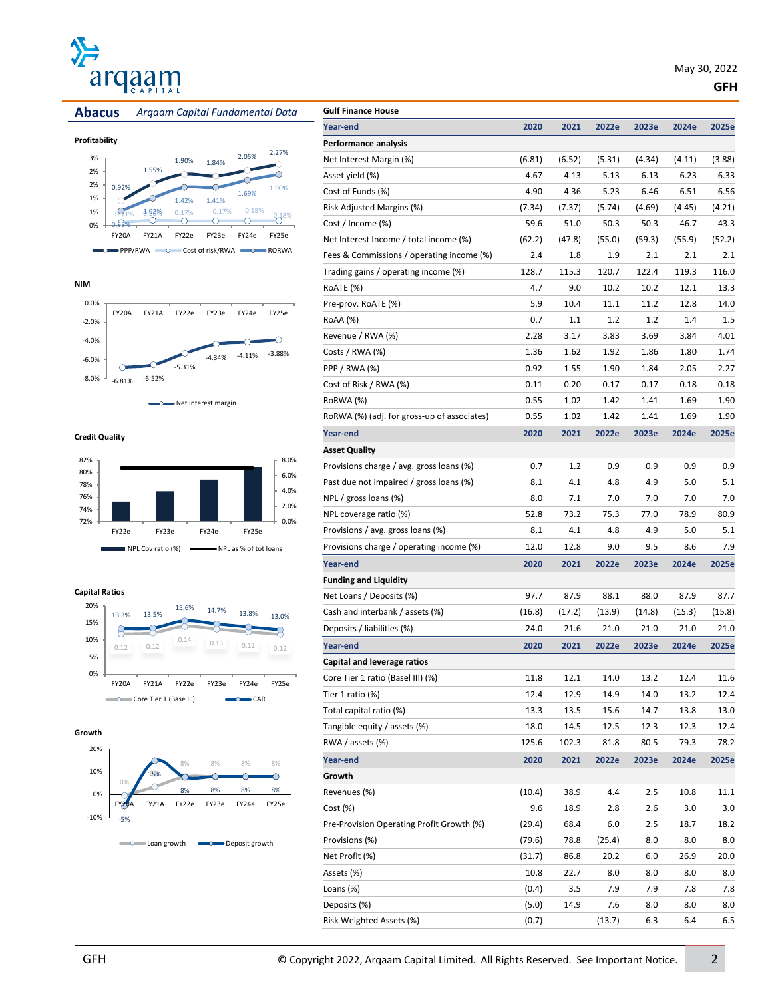











| Profitability |  |
|---------------|--|
|---------------|--|











**Credit Quality**



#### **Capital Ratios**







| <b>Gulf Finance House</b>                   |        |        |        |        |        |        |
|---------------------------------------------|--------|--------|--------|--------|--------|--------|
| Year-end                                    | 2020   | 2021   | 2022e  | 2023e  | 2024e  | 2025e  |
| Performance analysis                        |        |        |        |        |        |        |
| Net Interest Margin (%)                     | (6.81) | (6.52) | (5.31) | (4.34) | (4.11) | (3.88) |
| Asset yield (%)                             | 4.67   | 4.13   | 5.13   | 6.13   | 6.23   | 6.33   |
| Cost of Funds (%)                           | 4.90   | 4.36   | 5.23   | 6.46   | 6.51   | 6.56   |
| Risk Adjusted Margins (%)                   | (7.34) | (7.37) | (5.74) | (4.69) | (4.45) | (4.21) |
| Cost / Income (%)                           | 59.6   | 51.0   | 50.3   | 50.3   | 46.7   | 43.3   |
| Net Interest Income / total income (%)      | (62.2) | (47.8) | (55.0) | (59.3) | (55.9) | (52.2) |
| Fees & Commissions / operating income (%)   | 2.4    | 1.8    | 1.9    | 2.1    | 2.1    | 2.1    |
| Trading gains / operating income (%)        | 128.7  | 115.3  | 120.7  | 122.4  | 119.3  | 116.0  |
| RoATE (%)                                   | 4.7    | 9.0    | 10.2   | 10.2   | 12.1   | 13.3   |
| Pre-prov. RoATE (%)                         | 5.9    | 10.4   | 11.1   | 11.2   | 12.8   | 14.0   |
| RoAA (%)                                    | 0.7    | 1.1    | 1.2    | 1.2    | 1.4    | 1.5    |
| Revenue / RWA (%)                           | 2.28   | 3.17   | 3.83   | 3.69   | 3.84   | 4.01   |
| Costs / RWA (%)                             | 1.36   | 1.62   | 1.92   | 1.86   | 1.80   | 1.74   |
| $PPP / RWA$ $%$                             | 0.92   | 1.55   | 1.90   | 1.84   | 2.05   | 2.27   |
| Cost of Risk / RWA (%)                      | 0.11   | 0.20   | 0.17   | 0.17   | 0.18   | 0.18   |
| RoRWA (%)                                   | 0.55   | 1.02   | 1.42   | 1.41   | 1.69   | 1.90   |
| RoRWA (%) (adj. for gross-up of associates) | 0.55   | 1.02   | 1.42   | 1.41   | 1.69   | 1.90   |
| Year-end                                    | 2020   | 2021   | 2022e  | 2023e  | 2024e  | 2025e  |
| Asset Quality                               |        |        |        |        |        |        |
| Provisions charge / avg. gross loans (%)    | 0.7    | 1.2    | 0.9    | 0.9    | 0.9    | 0.9    |
| Past due not impaired / gross loans (%)     | 8.1    | 4.1    | 4.8    | 4.9    | 5.0    | 5.1    |
| NPL / gross loans (%)                       | 8.0    | 7.1    | 7.0    | 7.0    | 7.0    | 7.0    |
| NPL coverage ratio (%)                      | 52.8   | 73.2   | 75.3   | 77.0   | 78.9   | 80.9   |
| Provisions / avg. gross loans (%)           | 8.1    | 4.1    | 4.8    | 4.9    | 5.0    | 5.1    |
| Provisions charge / operating income (%)    | 12.0   | 12.8   | 9.0    | 9.5    | 8.6    | 7.9    |
| Year-end                                    | 2020   | 2021   | 2022e  | 2023e  | 2024e  | 2025e  |
| <b>Funding and Liquidity</b>                |        |        |        |        |        |        |
| Net Loans / Deposits (%)                    | 97.7   | 87.9   | 88.1   | 88.0   | 87.9   | 87.7   |
| Cash and interbank / assets (%)             | (16.8) | (17.2) | (13.9) | (14.8) | (15.3) | (15.8) |
| Deposits / liabilities (%)                  | 24.0   | 21.6   | 21.0   | 21.0   | 21.0   | 21.0   |
| Year-end                                    | 2020   | 2021   | 2022e  | 2023e  | 2024e  | 2025e  |
| Capital and leverage ratios                 |        |        |        |        |        |        |
| Core Tier 1 ratio (Basel III) (%)           | 11.8   | 12.1   | 14.0   | 13.2   | 12.4   | 11.6   |
| Tier 1 ratio (%)                            | 12.4   | 12.9   | 14.9   | 14.0   | 13.2   | 12.4   |
| Total capital ratio (%)                     | 13.3   | 13.5   | 15.6   | 14.7   | 13.8   | 13.0   |
| Tangible equity / assets (%)                | 18.0   | 14.5   | 12.5   | 12.3   | 12.3   | 12.4   |
| RWA / assets (%)                            | 125.6  | 102.3  | 81.8   | 80.5   | 79.3   | 78.2   |
|                                             |        |        |        |        |        |        |
| Year-end                                    | 2020   | 2021   | 2022e  | 2023e  | 2024e  | 2025e  |
| Growth                                      |        |        |        |        |        |        |
| Revenues (%)                                | (10.4) | 38.9   | 4.4    | 2.5    | 10.8   | 11.1   |
| Cost (%)                                    | 9.6    | 18.9   | 2.8    | 2.6    | 3.0    | 3.0    |
| Pre-Provision Operating Profit Growth (%)   | (29.4) | 68.4   | 6.0    | 2.5    | 18.7   | 18.2   |
| Provisions (%)                              | (79.6) | 78.8   | (25.4) | 8.0    | 8.0    | 8.0    |
| Net Profit (%)                              | (31.7) | 86.8   | 20.2   | 6.0    | 26.9   | 20.0   |
| Assets (%)                                  | 10.8   | 22.7   | 8.0    | 8.0    | 8.0    | 8.0    |
| Loans (%)                                   | (0.4)  | 3.5    | 7.9    | 7.9    | 7.8    | 7.8    |
| Deposits (%)                                | (5.0)  | 14.9   | 7.6    | 8.0    | 8.0    | 8.0    |
| Risk Weighted Assets (%)                    | (0.7)  | ÷      | (13.7) | 6.3    | 6.4    | 6.5    |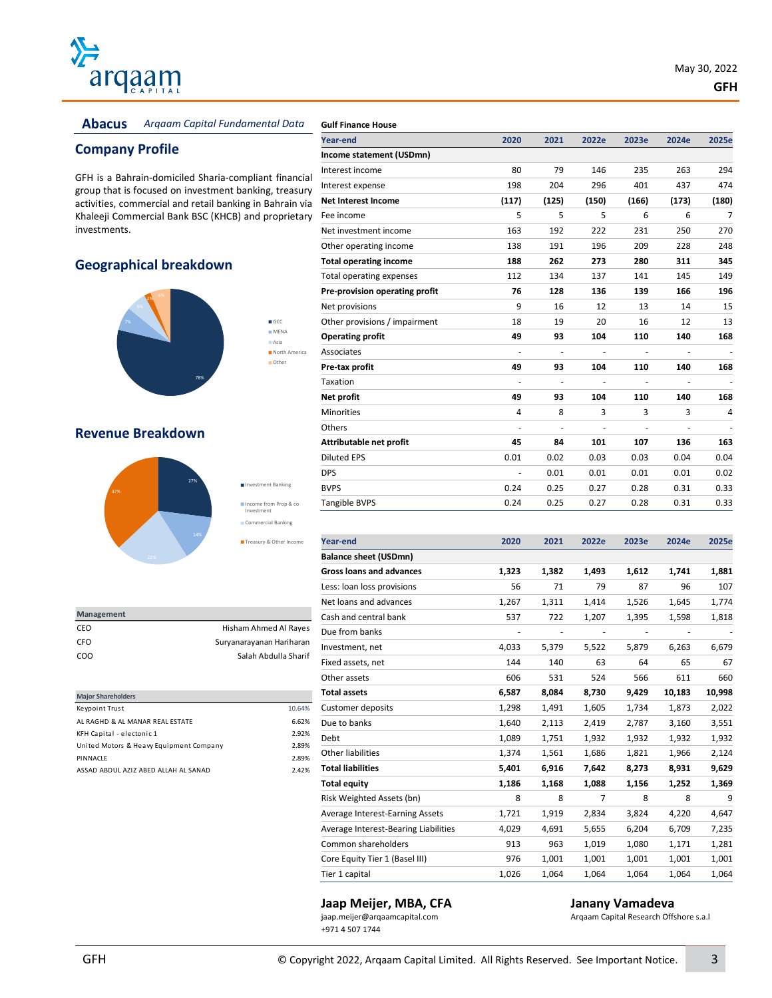

#### **Abacus** *Arqaam Capital Fundamental Data*

# **Company Profile**

GFH is a Bahrain-domiciled Sharia-compliant financial group that is focused on investment banking, treasury activities, commercial and retail banking in Bahrain via Khaleeji Commercial Bank BSC (KHCB) and proprietary investments.

> **GCC MENA** Asia North America Other

### **Geographical breakdown**



#### **Revenue Breakdown**



| <b>Management</b> |                          |
|-------------------|--------------------------|
| CEO               | Hisham Ahmed Al Rayes    |
| CFO.              | Suryanarayanan Hariharan |
| COO               | Salah Abdulla Sharif     |
|                   |                          |

| <b>Major Shareholders</b>               |        |
|-----------------------------------------|--------|
| Keypoint Trust                          | 10.64% |
| AL RAGHD & AL MANAR REAL ESTATE         | 6.62%  |
| KFH Capital - electonic 1               | 2.92%  |
| United Motors & Heavy Equipment Company | 2.89%  |
| PINNACLE                                | 2.89%  |
| ASSAD ABDUL AZIZ ABED ALLAH AL SANAD    | 2.42%  |

| Year-end                        | 2020                     | 2021  | 2022e  | 2023e | 2024e         | 2025e |
|---------------------------------|--------------------------|-------|--------|-------|---------------|-------|
| Income statement (USDmn)        |                          |       |        |       |               |       |
| Interest income                 | 80                       | 79    | 146    | 235   | 263           | 294   |
| Interest expense                | 198                      | 204   | 296    | 401   | 437           | 474   |
| <b>Net Interest Income</b>      | (117)                    | (125) | (150)  | (166) | (173)         | (180) |
| Fee income                      | 5                        | 5     | 5      | 6     | 6             | 7     |
| Net investment income           | 163                      | 192   | 222    | 231   | 250           | 270   |
| Other operating income          | 138                      | 191   | 196    | 209   | 228           | 248   |
| <b>Total operating income</b>   | 188                      | 262   | 273    | 280   | 311           | 345   |
| <b>Total operating expenses</b> | 112                      | 134   | 137    | 141   | 145           | 149   |
| Pre-provision operating profit  | 76                       | 128   | 136    | 139   | 166           | 196   |
| Net provisions                  | 9                        | 16    | 12     | 13    | 14            | 15    |
| Other provisions / impairment   | 18                       | 19    | 20     | 16    | 12            | 13    |
| <b>Operating profit</b>         | 49                       | 93    | 104    | 110   | 140           | 168   |
| Associates                      |                          |       |        |       |               |       |
| Pre-tax profit                  | 49                       | 93    | 104    | 110   | 140           | 168   |
| Taxation                        | $\overline{a}$           | ÷,    | $\sim$ | ÷,    | $\frac{1}{2}$ |       |
| Net profit                      | 49                       | 93    | 104    | 110   | 140           | 168   |
| <b>Minorities</b>               | 4                        | 8     | 3      | 3     | 3             | 4     |
| Others                          | $\overline{\phantom{a}}$ |       |        |       |               | ٠     |
| Attributable net profit         | 45                       | 84    | 101    | 107   | 136           | 163   |
| <b>Diluted EPS</b>              | 0.01                     | 0.02  | 0.03   | 0.03  | 0.04          | 0.04  |
| <b>DPS</b>                      | $\overline{a}$           | 0.01  | 0.01   | 0.01  | 0.01          | 0.02  |
| <b>BVPS</b>                     | 0.24                     | 0.25  | 0.27   | 0.28  | 0.31          | 0.33  |
| <b>Tangible BVPS</b>            | 0.24                     | 0.25  | 0.27   | 0.28  | 0.31          | 0.33  |

| <b>Year-end</b>                      | 2020                     | 2021  | 2022e                    | 2023e                    | 2024e                    | 2025e                    |
|--------------------------------------|--------------------------|-------|--------------------------|--------------------------|--------------------------|--------------------------|
| <b>Balance sheet (USDmn)</b>         |                          |       |                          |                          |                          |                          |
| <b>Gross loans and advances</b>      | 1,323                    | 1,382 | 1,493                    | 1,612                    | 1,741                    | 1,881                    |
| Less: loan loss provisions           | 56                       | 71    | 79                       | 87                       | 96                       | 107                      |
| Net loans and advances               | 1,267                    | 1,311 | 1,414                    | 1,526                    | 1,645                    | 1,774                    |
| Cash and central bank                | 537                      | 722   | 1,207                    | 1,395                    | 1,598                    | 1,818                    |
| Due from banks                       | $\overline{\phantom{0}}$ | ٠     | $\overline{\phantom{a}}$ | $\overline{\phantom{a}}$ | $\overline{\phantom{a}}$ | $\overline{\phantom{m}}$ |
| Investment, net                      | 4,033                    | 5,379 | 5,522                    | 5,879                    | 6,263                    | 6,679                    |
| Fixed assets, net                    | 144                      | 140   | 63                       | 64                       | 65                       | 67                       |
| Other assets                         | 606                      | 531   | 524                      | 566                      | 611                      | 660                      |
| <b>Total assets</b>                  | 6,587                    | 8,084 | 8,730                    | 9,429                    | 10,183                   | 10,998                   |
| <b>Customer deposits</b>             | 1,298                    | 1,491 | 1,605                    | 1,734                    | 1,873                    | 2,022                    |
| Due to banks                         | 1,640                    | 2,113 | 2,419                    | 2,787                    | 3,160                    | 3,551                    |
| Debt                                 | 1,089                    | 1,751 | 1,932                    | 1,932                    | 1,932                    | 1,932                    |
| Other liabilities                    | 1,374                    | 1,561 | 1,686                    | 1,821                    | 1,966                    | 2,124                    |
| <b>Total liabilities</b>             | 5,401                    | 6,916 | 7,642                    | 8,273                    | 8,931                    | 9,629                    |
| <b>Total equity</b>                  | 1,186                    | 1,168 | 1,088                    | 1,156                    | 1,252                    | 1,369                    |
| Risk Weighted Assets (bn)            | 8                        | 8     | $\overline{7}$           | 8                        | 8                        | 9                        |
| Average Interest-Earning Assets      | 1,721                    | 1,919 | 2,834                    | 3,824                    | 4,220                    | 4,647                    |
| Average Interest-Bearing Liabilities | 4,029                    | 4,691 | 5,655                    | 6,204                    | 6,709                    | 7,235                    |
| Common shareholders                  | 913                      | 963   | 1,019                    | 1,080                    | 1,171                    | 1,281                    |
| Core Equity Tier 1 (Basel III)       | 976                      | 1,001 | 1,001                    | 1,001                    | 1,001                    | 1,001                    |
| Tier 1 capital                       | 1,026                    | 1,064 | 1.064                    | 1,064                    | 1,064                    | 1,064                    |

# **Jaap Meijer, MBA, CFA Janany Vamadeva Janany Vamadeva Janany Vamadeva** *Argaam Capital Research Offs*

+971 4 507 1744

Arqaam Capital Research Offshore s.a.l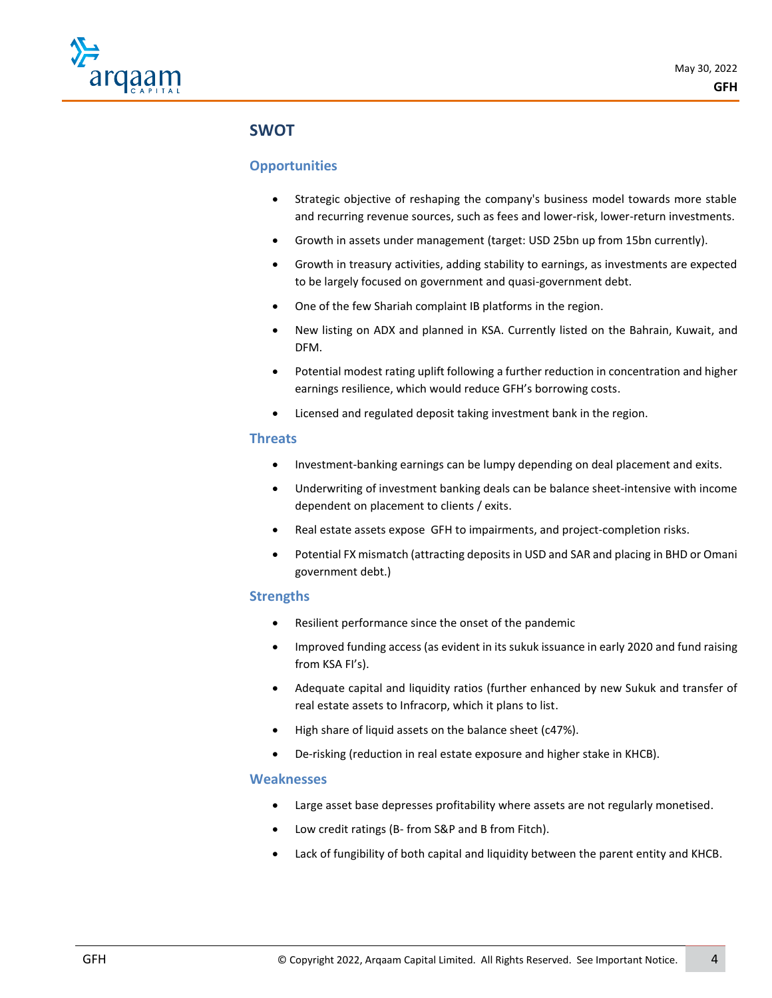

# **SWOT**

## **Opportunities**

- Strategic objective of reshaping the company's business model towards more stable and recurring revenue sources, such as fees and lower-risk, lower-return investments.
- Growth in assets under management (target: USD 25bn up from 15bn currently).
- Growth in treasury activities, adding stability to earnings, as investments are expected to be largely focused on government and quasi-government debt.
- One of the few Shariah complaint IB platforms in the region.
- New listing on ADX and planned in KSA. Currently listed on the Bahrain, Kuwait, and DFM.
- Potential modest rating uplift following a further reduction in concentration and higher earnings resilience, which would reduce GFH's borrowing costs.
- Licensed and regulated deposit taking investment bank in the region.

#### **Threats**

- Investment-banking earnings can be lumpy depending on deal placement and exits.
- Underwriting of investment banking deals can be balance sheet-intensive with income dependent on placement to clients / exits.
- Real estate assets expose GFH to impairments, and project-completion risks.
- Potential FX mismatch (attracting deposits in USD and SAR and placing in BHD or Omani government debt.)

## **Strengths**

- Resilient performance since the onset of the pandemic
- Improved funding access (as evident in its sukuk issuance in early 2020 and fund raising from KSA FI's).
- Adequate capital and liquidity ratios (further enhanced by new Sukuk and transfer of real estate assets to Infracorp, which it plans to list.
- High share of liquid assets on the balance sheet (c47%).
- De-risking (reduction in real estate exposure and higher stake in KHCB).

### **Weaknesses**

- Large asset base depresses profitability where assets are not regularly monetised.
- Low credit ratings (B- from S&P and B from Fitch).
- Lack of fungibility of both capital and liquidity between the parent entity and KHCB.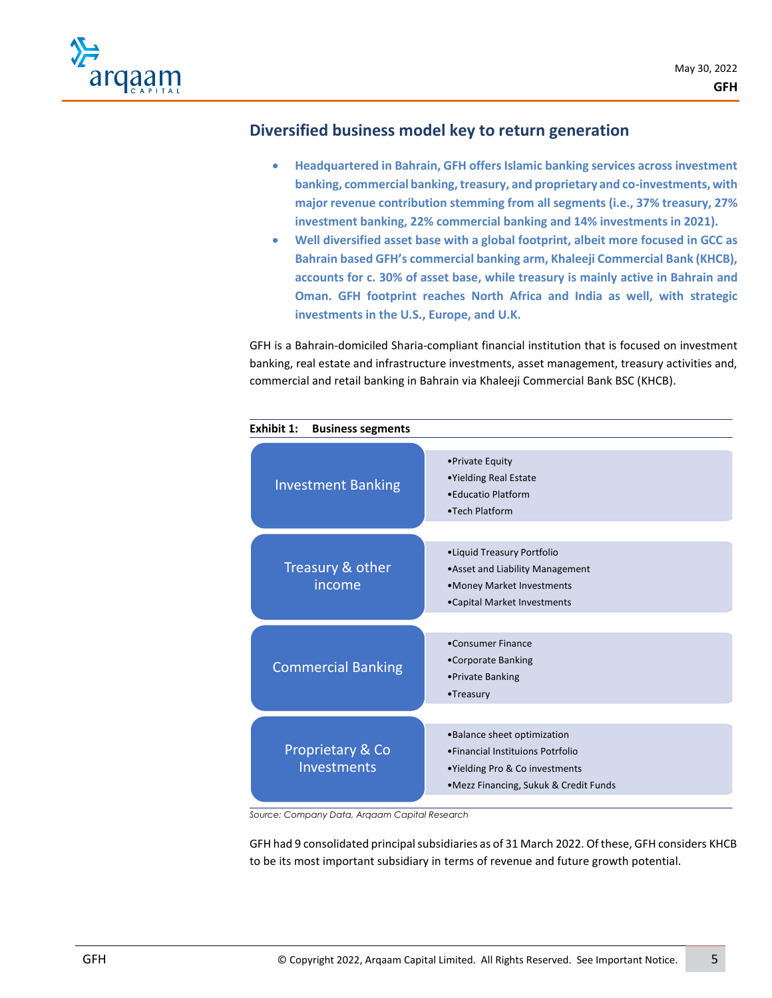

# **Diversified business model key to return generation**

- **Headquartered in Bahrain, GFH offers Islamic banking services across investment banking, commercial banking, treasury, and proprietary and co-investments, with major revenue contribution stemming from all segments (i.e., 37% treasury, 27% investment banking, 22% commercial banking and 14% investments in 2021).**
- **Well diversified asset base with a global footprint, albeit more focused in GCC as Bahrain based GFH's commercial banking arm, Khaleeji Commercial Bank (KHCB), accounts for c. 30% of asset base, while treasury is mainly active in Bahrain and Oman. GFH footprint reaches North Africa and India as well, with strategic investments in the U.S., Europe, and U.K.**

GFH is a Bahrain-domiciled Sharia-compliant financial institution that is focused on investment banking, real estate and infrastructure investments, asset management, treasury activities and, commercial and retail banking in Bahrain via Khaleeji Commercial Bank BSC (KHCB).



*Source: Company Data, Arqaam Capital Research*

GFH had 9 consolidated principal subsidiaries as of 31 March 2022. Of these, GFH considers KHCB to be its most important subsidiary in terms of revenue and future growth potential.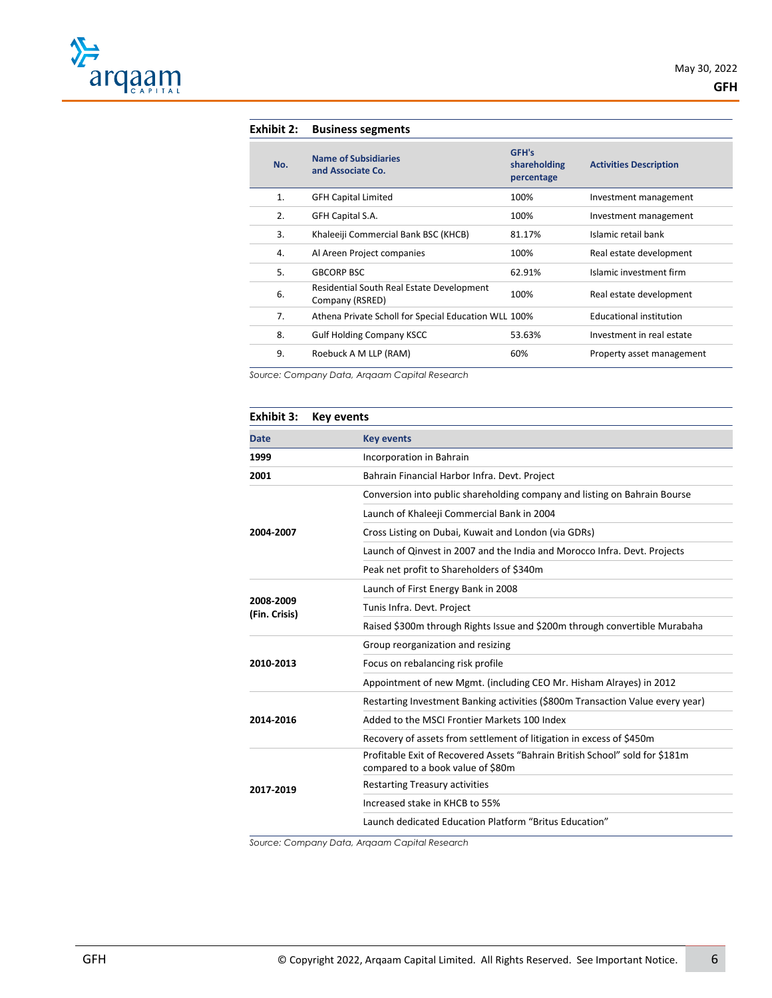

| Exhibit 2: | <b>Business segments</b>                                     |                                     |                                |
|------------|--------------------------------------------------------------|-------------------------------------|--------------------------------|
| No.        | <b>Name of Subsidiaries</b><br>and Associate Co.             | GFH's<br>shareholding<br>percentage | <b>Activities Description</b>  |
| 1.         | <b>GFH Capital Limited</b>                                   | 100%                                | Investment management          |
| 2.         | GFH Capital S.A.                                             | 100%                                | Investment management          |
| 3.         | Khaleeiji Commercial Bank BSC (KHCB)                         | 81.17%                              | Islamic retail bank            |
| 4.         | Al Areen Project companies                                   | 100%                                | Real estate development        |
| 5.         | <b>GBCORP BSC</b>                                            | 62.91%                              | Islamic investment firm        |
| 6.         | Residential South Real Estate Development<br>Company (RSRED) | 100%                                | Real estate development        |
| 7.         | Athena Private Scholl for Special Education WLL 100%         |                                     | <b>Educational institution</b> |
| 8.         | <b>Gulf Holding Company KSCC</b>                             | 53.63%                              | Investment in real estate      |
| 9.         | Roebuck A M LLP (RAM)                                        | 60%                                 | Property asset management      |

*Source: Company Data, Arqaam Capital Research*

| Exhibit 3:                 | <b>Key events</b>                                                                                                 |
|----------------------------|-------------------------------------------------------------------------------------------------------------------|
| <b>Date</b>                | <b>Key events</b>                                                                                                 |
| 1999                       | Incorporation in Bahrain                                                                                          |
| 2001                       | Bahrain Financial Harbor Infra. Devt. Project                                                                     |
|                            | Conversion into public shareholding company and listing on Bahrain Bourse                                         |
|                            | Launch of Khaleeji Commercial Bank in 2004                                                                        |
| 2004-2007                  | Cross Listing on Dubai, Kuwait and London (via GDRs)                                                              |
|                            | Launch of Qinvest in 2007 and the India and Morocco Infra. Devt. Projects                                         |
|                            | Peak net profit to Shareholders of \$340m                                                                         |
|                            | Launch of First Energy Bank in 2008                                                                               |
| 2008-2009<br>(Fin. Crisis) | Tunis Infra. Devt. Project                                                                                        |
|                            | Raised \$300m through Rights Issue and \$200m through convertible Murabaha                                        |
|                            | Group reorganization and resizing                                                                                 |
| 2010-2013                  | Focus on rebalancing risk profile                                                                                 |
|                            | Appointment of new Mgmt. (including CEO Mr. Hisham Alrayes) in 2012                                               |
|                            | Restarting Investment Banking activities (\$800m Transaction Value every year)                                    |
| 2014-2016                  | Added to the MSCI Frontier Markets 100 Index                                                                      |
|                            | Recovery of assets from settlement of litigation in excess of \$450m                                              |
|                            | Profitable Exit of Recovered Assets "Bahrain British School" sold for \$181m<br>compared to a book value of \$80m |
| 2017-2019                  | <b>Restarting Treasury activities</b>                                                                             |
|                            | Increased stake in KHCB to 55%                                                                                    |
|                            | Launch dedicated Education Platform "Britus Education"                                                            |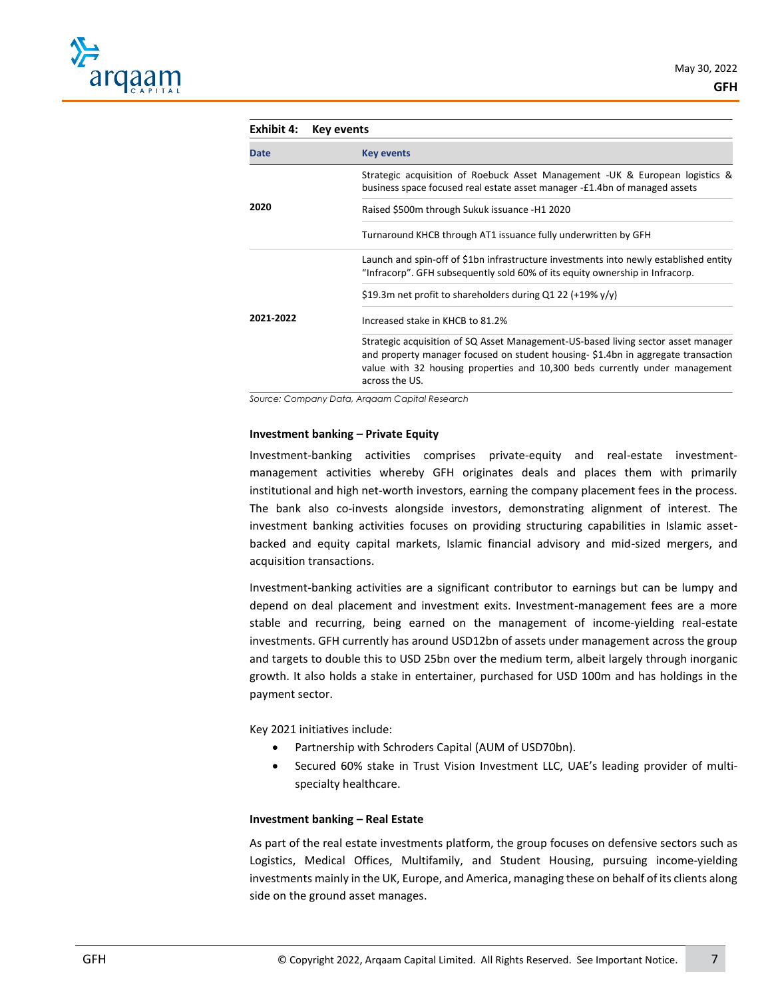| Exhibit 4:                                            | <b>Key events</b>                                                                                                                                                                                                                                                      |  |
|-------------------------------------------------------|------------------------------------------------------------------------------------------------------------------------------------------------------------------------------------------------------------------------------------------------------------------------|--|
| <b>Date</b>                                           | <b>Key events</b>                                                                                                                                                                                                                                                      |  |
|                                                       | Strategic acquisition of Roebuck Asset Management -UK & European logistics &<br>business space focused real estate asset manager -£1.4bn of managed assets                                                                                                             |  |
| 2020<br>Raised \$500m through Sukuk issuance -H1 2020 |                                                                                                                                                                                                                                                                        |  |
|                                                       | Turnaround KHCB through AT1 issuance fully underwritten by GFH                                                                                                                                                                                                         |  |
|                                                       | Launch and spin-off of \$1bn infrastructure investments into newly established entity<br>"Infracorp". GFH subsequently sold 60% of its equity ownership in Infracorp.                                                                                                  |  |
|                                                       | \$19.3m net profit to shareholders during Q1 22 (+19% $y/y$ )                                                                                                                                                                                                          |  |
| 2021-2022                                             | Increased stake in KHCB to 81.2%                                                                                                                                                                                                                                       |  |
|                                                       | Strategic acquisition of SQ Asset Management-US-based living sector asset manager<br>and property manager focused on student housing-\$1.4bn in aggregate transaction<br>value with 32 housing properties and 10,300 beds currently under management<br>across the US. |  |

*Source: Company Data, Arqaam Capital Research*

#### **Investment banking – Private Equity**

Investment-banking activities comprises private-equity and real-estate investmentmanagement activities whereby GFH originates deals and places them with primarily institutional and high net-worth investors, earning the company placement fees in the process. The bank also co-invests alongside investors, demonstrating alignment of interest. The investment banking activities focuses on providing structuring capabilities in Islamic assetbacked and equity capital markets, Islamic financial advisory and mid-sized mergers, and acquisition transactions.

Investment-banking activities are a significant contributor to earnings but can be lumpy and depend on deal placement and investment exits. Investment-management fees are a more stable and recurring, being earned on the management of income-yielding real-estate investments. GFH currently has around USD12bn of assets under management across the group and targets to double this to USD 25bn over the medium term, albeit largely through inorganic growth. It also holds a stake in entertainer, purchased for USD 100m and has holdings in the payment sector.

Key 2021 initiatives include:

- Partnership with Schroders Capital (AUM of USD70bn).
- Secured 60% stake in Trust Vision Investment LLC, UAE's leading provider of multispecialty healthcare.

#### **Investment banking – Real Estate**

As part of the real estate investments platform, the group focuses on defensive sectors such as Logistics, Medical Offices, Multifamily, and Student Housing, pursuing income-yielding investments mainly in the UK, Europe, and America, managing these on behalf of its clients along side on the ground asset manages.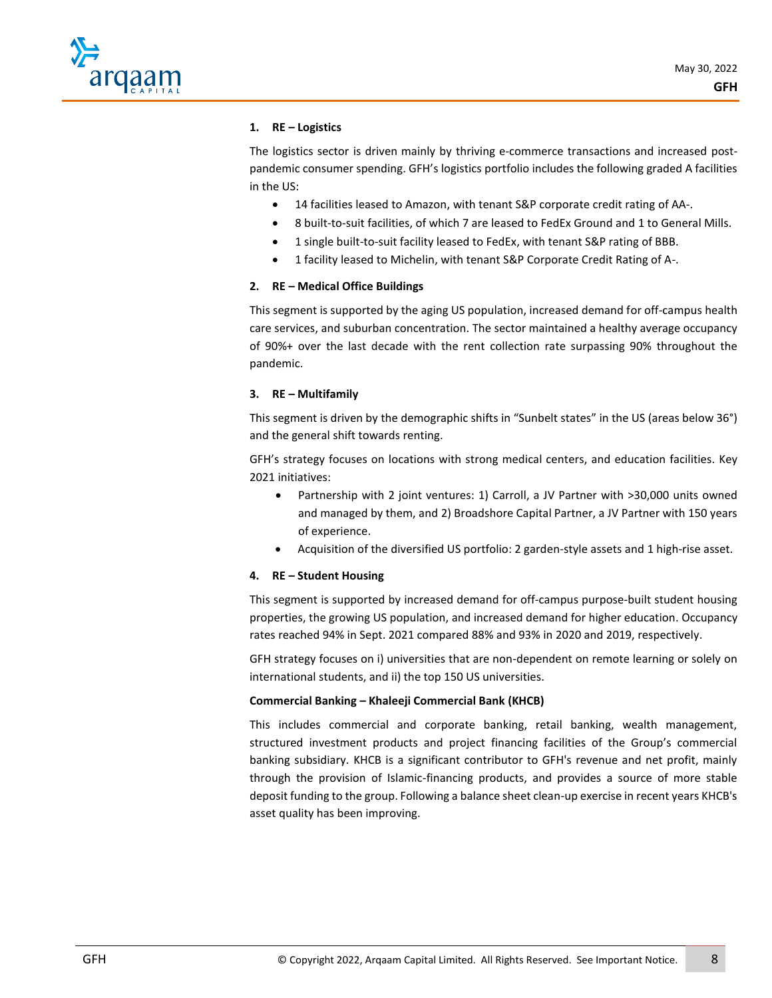

#### **1. RE – Logistics**

The logistics sector is driven mainly by thriving e-commerce transactions and increased postpandemic consumer spending. GFH's logistics portfolio includes the following graded A facilities in the US:

- 14 facilities leased to Amazon, with tenant S&P corporate credit rating of AA-.
- 8 built-to-suit facilities, of which 7 are leased to FedEx Ground and 1 to General Mills.
- 1 single built-to-suit facility leased to FedEx, with tenant S&P rating of BBB.
- 1 facility leased to Michelin, with tenant S&P Corporate Credit Rating of A-.

#### **2. RE – Medical Office Buildings**

This segment is supported by the aging US population, increased demand for off-campus health care services, and suburban concentration. The sector maintained a healthy average occupancy of 90%+ over the last decade with the rent collection rate surpassing 90% throughout the pandemic.

#### **3. RE – Multifamily**

This segment is driven by the demographic shifts in "Sunbelt states" in the US (areas below 36°) and the general shift towards renting.

GFH's strategy focuses on locations with strong medical centers, and education facilities. Key 2021 initiatives:

- Partnership with 2 joint ventures: 1) Carroll, a JV Partner with >30,000 units owned and managed by them, and 2) Broadshore Capital Partner, a JV Partner with 150 years of experience.
- Acquisition of the diversified US portfolio: 2 garden-style assets and 1 high-rise asset.

#### **4. RE – Student Housing**

This segment is supported by increased demand for off-campus purpose-built student housing properties, the growing US population, and increased demand for higher education. Occupancy rates reached 94% in Sept. 2021 compared 88% and 93% in 2020 and 2019, respectively.

GFH strategy focuses on i) universities that are non-dependent on remote learning or solely on international students, and ii) the top 150 US universities.

#### **Commercial Banking – Khaleeji Commercial Bank (KHCB)**

This includes commercial and corporate banking, retail banking, wealth management, structured investment products and project financing facilities of the Group's commercial banking subsidiary. KHCB is a significant contributor to GFH's revenue and net profit, mainly through the provision of Islamic-financing products, and provides a source of more stable deposit funding to the group. Following a balance sheet clean-up exercise in recent years KHCB's asset quality has been improving.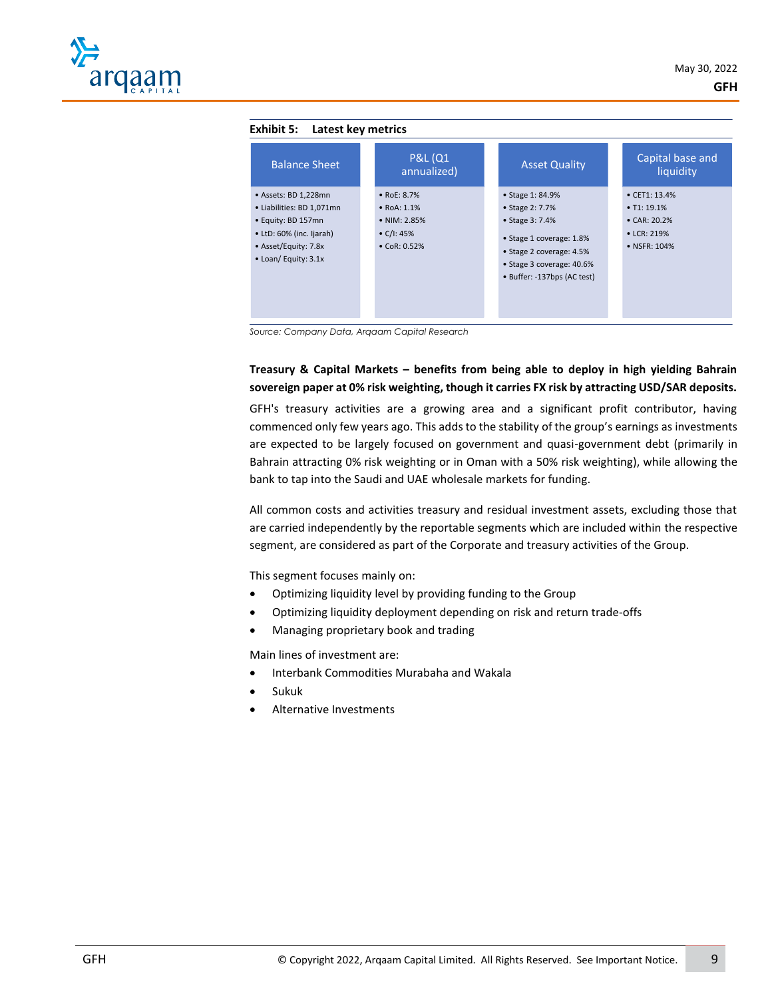| <b>Balance Sheet</b>                                                                                                                                | <b>P&amp;L (Q1)</b><br>annualized)                                                                 | <b>Asset Quality</b>                                                                                                                                                       | Capital base and<br>liquidity                                                                       |
|-----------------------------------------------------------------------------------------------------------------------------------------------------|----------------------------------------------------------------------------------------------------|----------------------------------------------------------------------------------------------------------------------------------------------------------------------------|-----------------------------------------------------------------------------------------------------|
| · Assets: BD 1,228mn<br>• Liabilities: BD 1,071mn<br>• Equity: BD 157mn<br>• LtD: 60% (inc. Ijarah)<br>• Asset/Equity: 7.8x<br>• Loan/ Equity: 3.1x | • $RoE: 8.7%$<br>$\bullet$ RoA: 1.1%<br>• NIM: 2.85%<br>$\bullet$ C/I: 45%<br>$\bullet$ CoR: 0.52% | • Stage 1: 84.9%<br>• Stage 2: 7.7%<br>• Stage 3: 7.4%<br>• Stage 1 coverage: 1.8%<br>• Stage 2 coverage: 4.5%<br>• Stage 3 coverage: 40.6%<br>• Buffer: -137bps (AC test) | $\bullet$ CET1: 13.4%<br>$\bullet$ T1: 19.1%<br>$\bullet$ CAR: 20.2%<br>• LCR: 219%<br>• NSFR: 104% |

*Source: Company Data, Arqaam Capital Research*

#### **Treasury & Capital Markets – benefits from being able to deploy in high yielding Bahrain sovereign paper at 0% risk weighting, though it carries FX risk by attracting USD/SAR deposits.**

GFH's treasury activities are a growing area and a significant profit contributor, having commenced only few years ago. This adds to the stability of the group's earnings as investments are expected to be largely focused on government and quasi-government debt (primarily in Bahrain attracting 0% risk weighting or in Oman with a 50% risk weighting), while allowing the bank to tap into the Saudi and UAE wholesale markets for funding.

All common costs and activities treasury and residual investment assets, excluding those that are carried independently by the reportable segments which are included within the respective segment, are considered as part of the Corporate and treasury activities of the Group.

This segment focuses mainly on:

- Optimizing liquidity level by providing funding to the Group
- Optimizing liquidity deployment depending on risk and return trade-offs
- Managing proprietary book and trading

Main lines of investment are:

- Interbank Commodities Murabaha and Wakala
- Sukuk
- Alternative Investments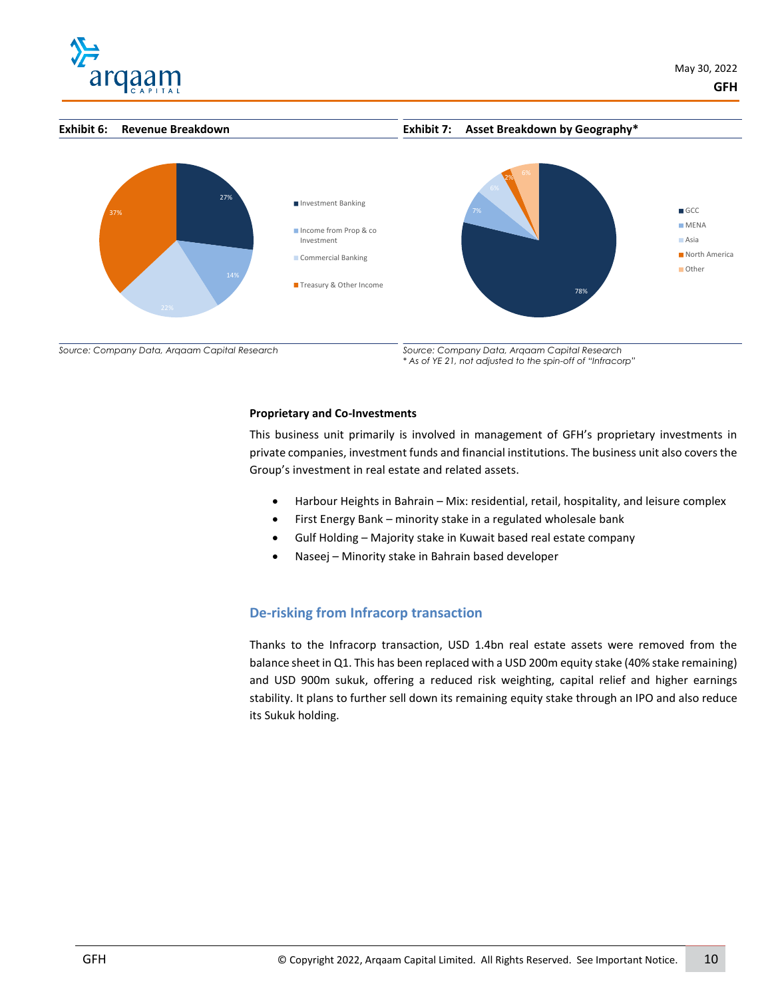



**Exhibit 7: Asset Breakdown by Geography\***



*Source: Company Data, Arqaam Capital Research*

*Source: Company Data, Arqaam Capital Research \* As of YE 21, not adjusted to the spin-off of "Infracorp"*

#### **Proprietary and Co-Investments**

This business unit primarily is involved in management of GFH's proprietary investments in private companies, investment funds and financial institutions. The business unit also covers the Group's investment in real estate and related assets.

- Harbour Heights in Bahrain Mix: residential, retail, hospitality, and leisure complex
- First Energy Bank minority stake in a regulated wholesale bank
- Gulf Holding Majority stake in Kuwait based real estate company
- Naseej Minority stake in Bahrain based developer

## **De-risking from Infracorp transaction**

Thanks to the Infracorp transaction, USD 1.4bn real estate assets were removed from the balance sheet in Q1. This has been replaced with a USD 200m equity stake (40% stake remaining) and USD 900m sukuk, offering a reduced risk weighting, capital relief and higher earnings stability. It plans to further sell down its remaining equity stake through an IPO and also reduce its Sukuk holding.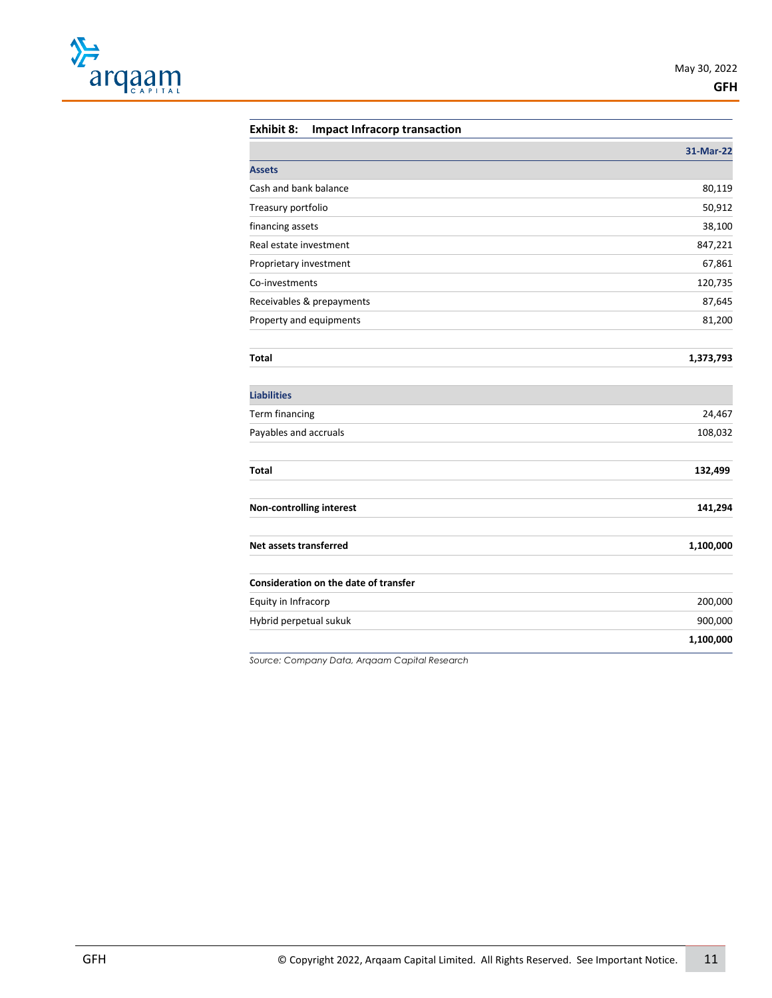

#### **Exhibit 8: Impact Infracorp transaction**

|                                       | 31-Mar-22 |
|---------------------------------------|-----------|
| Assets                                |           |
| Cash and bank balance                 | 80,119    |
| Treasury portfolio                    | 50,912    |
| financing assets                      | 38,100    |
| Real estate investment                | 847,221   |
| Proprietary investment                | 67,861    |
| Co-investments                        | 120,735   |
| Receivables & prepayments             | 87,645    |
| Property and equipments               | 81,200    |
| Total                                 | 1,373,793 |
| <b>Liabilities</b>                    |           |
| Term financing                        | 24,467    |
| Payables and accruals                 | 108,032   |
| <b>Total</b>                          | 132,499   |
| <b>Non-controlling interest</b>       | 141,294   |
| Net assets transferred                | 1,100,000 |
| Consideration on the date of transfer |           |
| Equity in Infracorp                   | 200,000   |
| Hybrid perpetual sukuk                | 900,000   |
|                                       | 1,100,000 |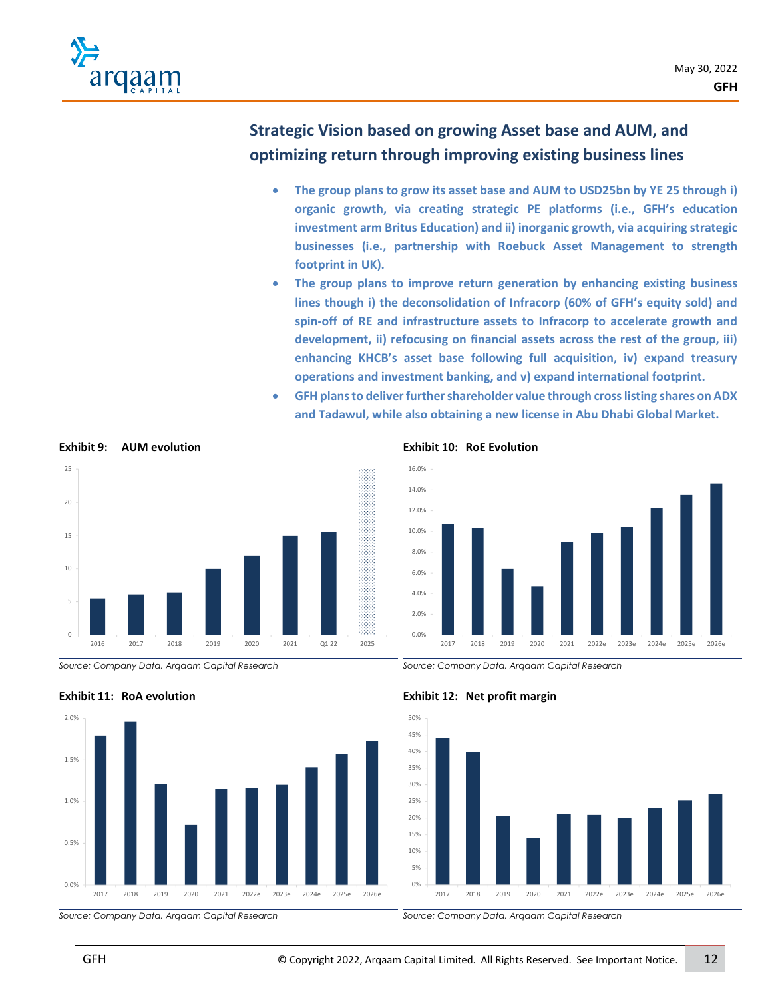

# **Strategic Vision based on growing Asset base and AUM, and optimizing return through improving existing business lines**

- **The group plans to grow its asset base and AUM to USD25bn by YE 25 through i) organic growth, via creating strategic PE platforms (i.e., GFH's education investment arm Britus Education) and ii) inorganic growth, via acquiring strategic businesses (i.e., partnership with Roebuck Asset Management to strength footprint in UK).**
- **The group plans to improve return generation by enhancing existing business lines though i) the deconsolidation of Infracorp (60% of GFH's equity sold) and spin-off of RE and infrastructure assets to Infracorp to accelerate growth and development, ii) refocusing on financial assets across the rest of the group, iii) enhancing KHCB's asset base following full acquisition, iv) expand treasury operations and investment banking, and v) expand international footprint.**
- **GFH plans to deliver further shareholder value through cross listing shares on ADX and Tadawul, while also obtaining a new license in Abu Dhabi Global Market.**



*Source: Company Data, Arqaam Capital Research*

*Source: Company Data, Arqaam Capital Research*



#### **Exhibit 11: RoA evolution**

*Source: Company Data, Arqaam Capital Research*



**Exhibit 12: Net profit margin**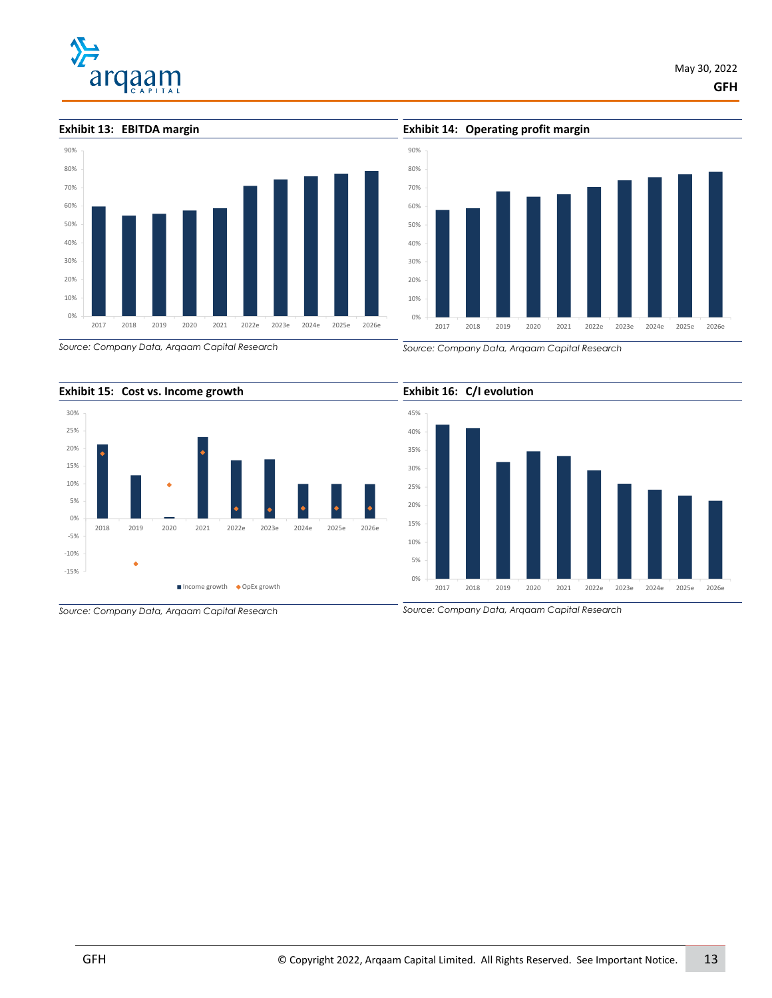# arqaam

**Exhibit 13: EBITDA margin**

# 0% 10% 20% 30% 40% 50% 60% 70% 80% 90% 2017 2018 2019 2020 2021 2022e 2023e 2024e 2025e 2026e

**Exhibit 14: Operating profit margin**



*Source: Company Data, Arqaam Capital Research*



*Source: Company Data, Arqaam Capital Research*



*Source: Company Data, Arqaam Capital Research*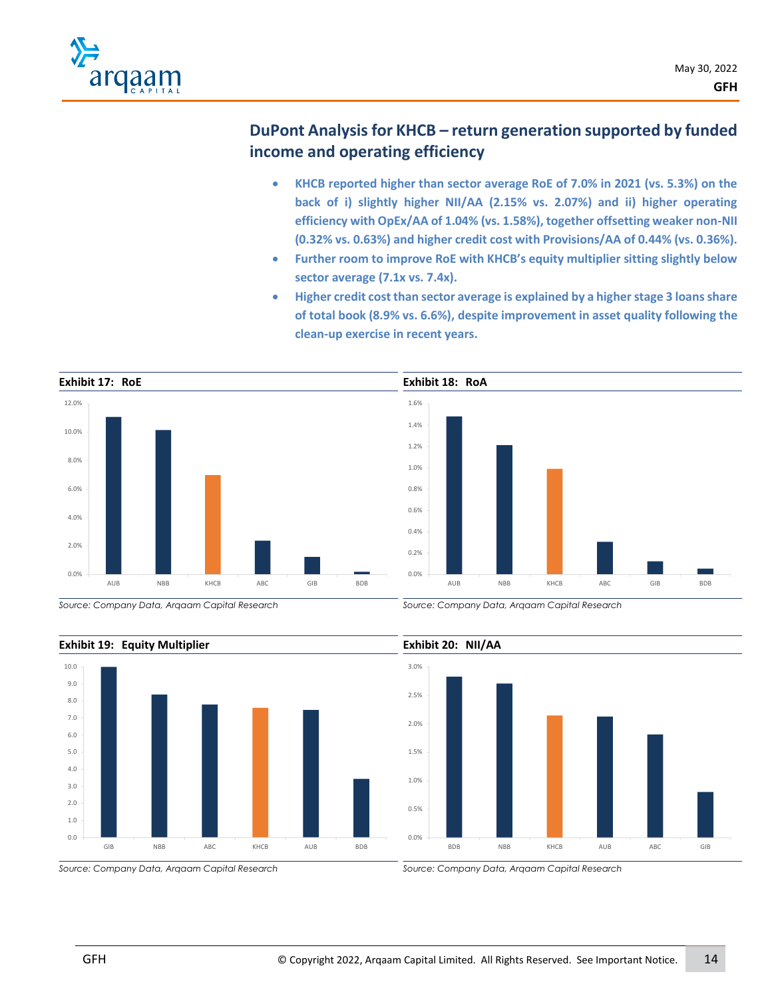

# **DuPont Analysisfor KHCB – return generation supported by funded income and operating efficiency**

- **KHCB reported higher than sector average RoE of 7.0% in 2021 (vs. 5.3%) on the back of i) slightly higher NII/AA (2.15% vs. 2.07%) and ii) higher operating efficiency with OpEx/AA of 1.04% (vs. 1.58%), together offsetting weaker non-NII (0.32% vs. 0.63%) and higher credit cost with Provisions/AA of 0.44% (vs. 0.36%).**
- **Further room to improve RoE with KHCB's equity multiplier sitting slightly below sector average (7.1x vs. 7.4x).**
- **Higher credit cost than sector average is explained by a higher stage 3 loans share of total book (8.9% vs. 6.6%), despite improvement in asset quality following the clean-up exercise in recent years.**



*Source: Company Data, Arqaam Capital Research*

*Source: Company Data, Arqaam Capital Research*



## **Exhibit 19: Equity Multiplier**

*Source: Company Data, Arqaam Capital Research*

GIB NBB ABC KHCB AUB BDB

*Source: Company Data, Arqaam Capital Research*

0.0 1.0 2.0 3.0 4.0 5.0 6.0 7.0 8.0 9.0 10.0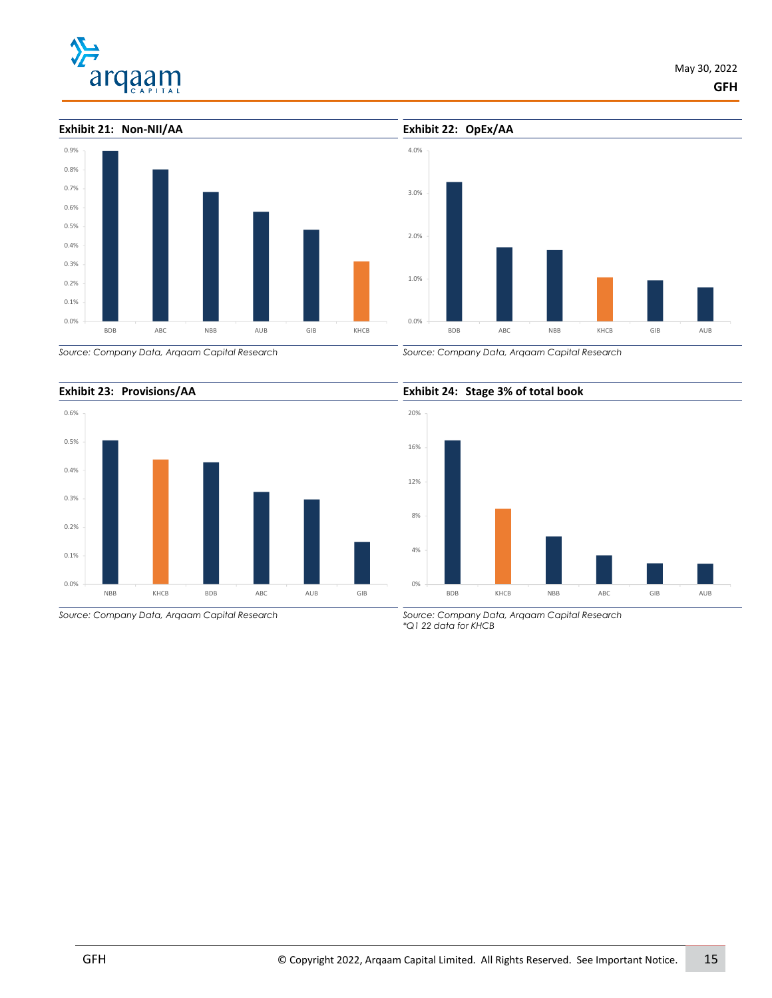



*Source: Company Data, Arqaam Capital Research*





*Source: Company Data, Arqaam Capital Research*

*Source: Company Data, Arqaam Capital Research*

#### **Exhibit 24: Stage 3% of total book**



*Source: Company Data, Arqaam Capital Research \*Q1 22 data for KHCB*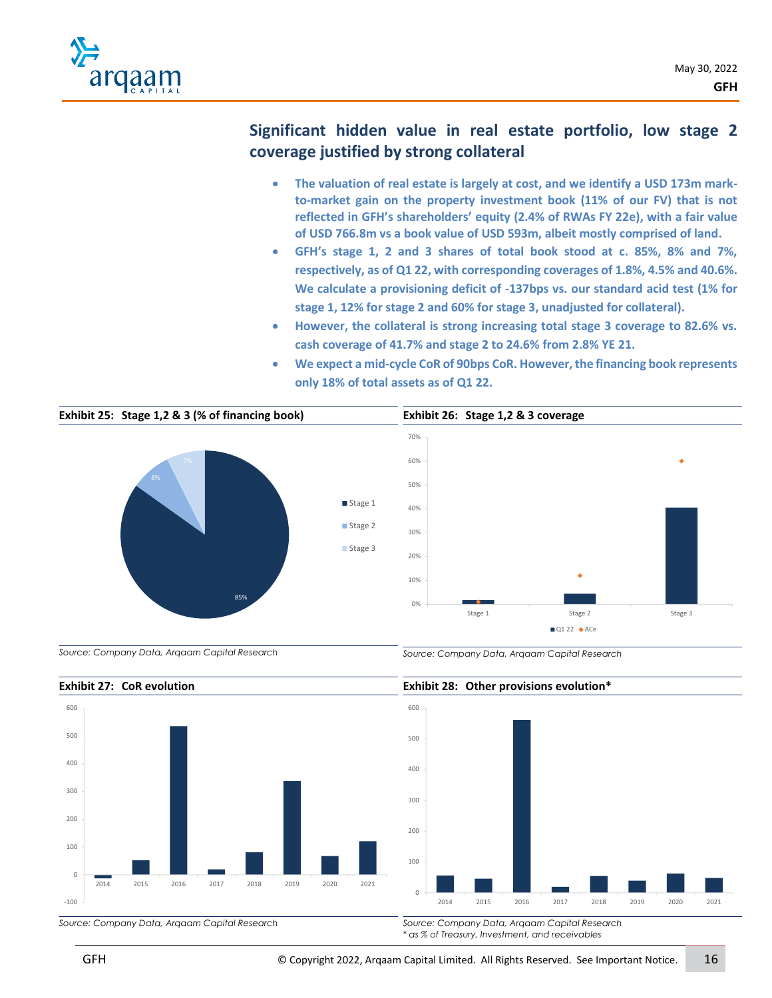

# **Significant hidden value in real estate portfolio, low stage 2 coverage justified by strong collateral**

- **The valuation of real estate is largely at cost, and we identify a USD 173m markto-market gain on the property investment book (11% of our FV) that is not reflected in GFH's shareholders' equity (2.4% of RWAs FY 22e), with a fair value of USD 766.8m vs a book value of USD 593m, albeit mostly comprised of land.**
- **GFH's stage 1, 2 and 3 shares of total book stood at c. 85%, 8% and 7%, respectively, as of Q1 22, with corresponding coverages of 1.8%, 4.5% and 40.6%. We calculate a provisioning deficit of -137bps vs. our standard acid test (1% for stage 1, 12% for stage 2 and 60% for stage 3, unadjusted for collateral).**
- **However, the collateral is strong increasing total stage 3 coverage to 82.6% vs. cash coverage of 41.7% and stage 2 to 24.6% from 2.8% YE 21.**
- **We expect a mid-cycle CoR of 90bps CoR. However, the financing book represents only 18% of total assets as of Q1 22.**



*Source: Company Data, Arqaam Capital Research*





*\* as % of Treasury, Investment, and receivables*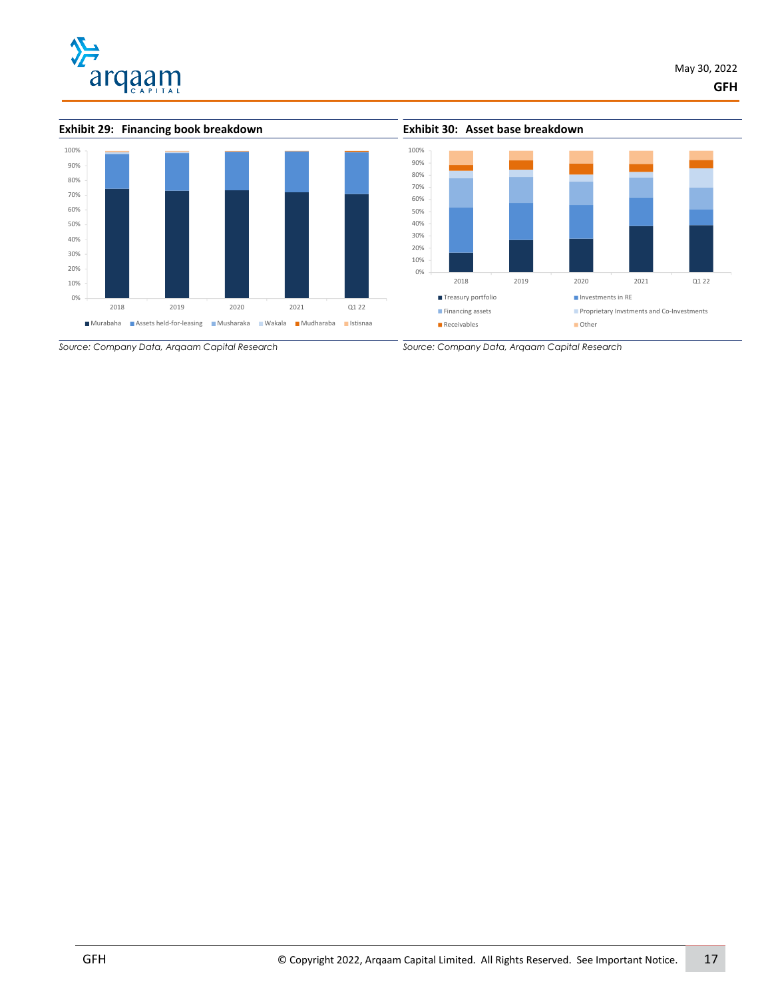





*Source: Company Data, Arqaam Capital Research*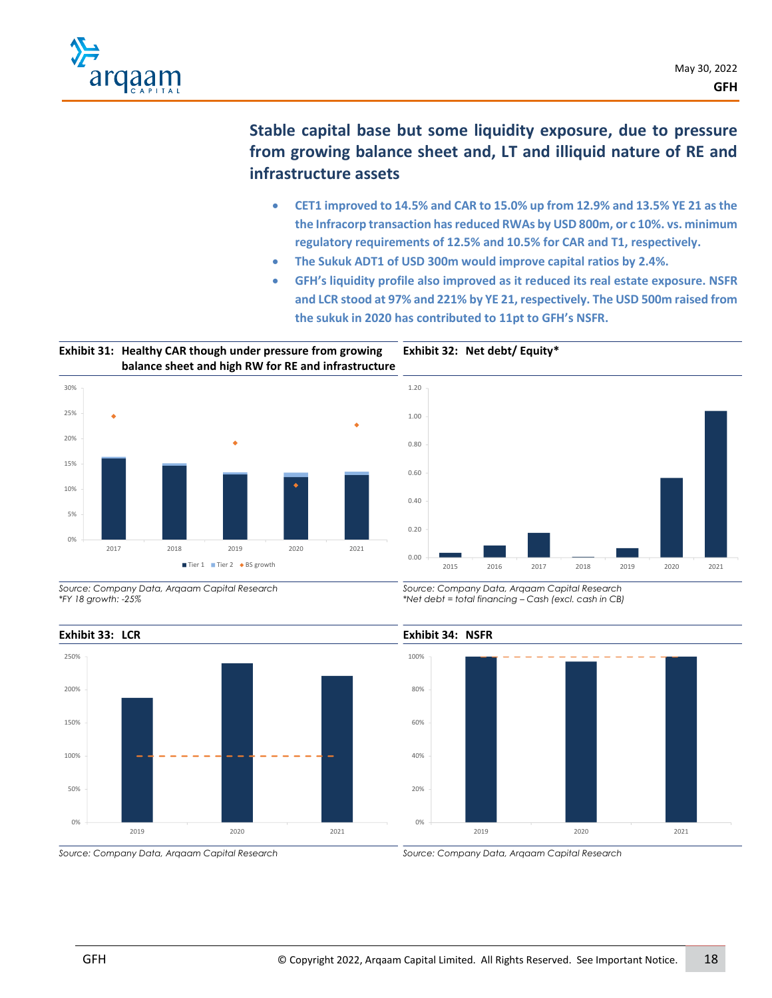

# **Stable capital base but some liquidity exposure, due to pressure from growing balance sheet and, LT and illiquid nature of RE and infrastructure assets**

- **CET1 improved to 14.5% and CAR to 15.0% up from 12.9% and 13.5% YE 21 as the the Infracorp transaction hasreduced RWAs by USD 800m, or c 10%. vs. minimum regulatory requirements of 12.5% and 10.5% for CAR and T1, respectively.**
- **The Sukuk ADT1 of USD 300m would improve capital ratios by 2.4%.**

**Exhibit 32: Net debt/ Equity\*** 

• **GFH's liquidity profile also improved as it reduced its real estate exposure. NSFR and LCR stood at 97% and 221% by YE 21, respectively. The USD 500m raised from the sukuk in 2020 has contributed to 11pt to GFH's NSFR.** 

**Exhibit 31: Healthy CAR though under pressure from growing balance sheet and high RW for RE and infrastructure**





*Source: Company Data, Arqaam Capital Research \*FY 18 growth: -25%*



*Source: Company Data, Arqaam Capital Research*

*Source: Company Data, Arqaam Capital Research*

2019 2020 2021

**Exhibit 34: NSFR**

0%

20%

40%

60%

80%

100%

*Source: Company Data, Arqaam Capital Research \*Net debt = total financing – Cash (excl. cash in CB)*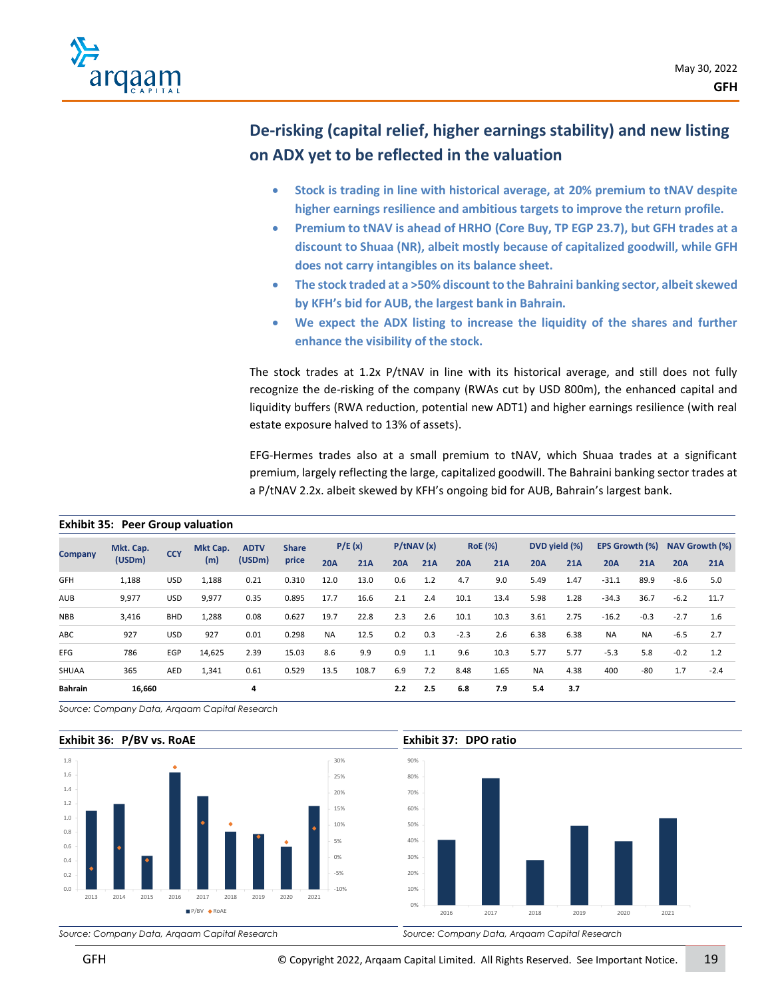

# **De-risking (capital relief, higher earnings stability) and new listing on ADX yet to be reflected in the valuation**

- **Stock is trading in line with historical average, at 20% premium to tNAV despite higher earnings resilience and ambitious targets to improve the return profile.**
- **Premium to tNAV is ahead of HRHO (Core Buy, TP EGP 23.7), but GFH trades at a discount to Shuaa (NR), albeit mostly because of capitalized goodwill, while GFH does not carry intangibles on its balance sheet.**
- **The stock traded at a >50% discount to the Bahraini banking sector, albeit skewed by KFH's bid for AUB, the largest bank in Bahrain.**
- **We expect the ADX listing to increase the liquidity of the shares and further enhance the visibility of the stock.**

The stock trades at 1.2x P/tNAV in line with its historical average, and still does not fully recognize the de-risking of the company (RWAs cut by USD 800m), the enhanced capital and liquidity buffers (RWA reduction, potential new ADT1) and higher earnings resilience (with real estate exposure halved to 13% of assets).

EFG-Hermes trades also at a small premium to tNAV, which Shuaa trades at a significant premium, largely reflecting the large, capitalized goodwill. The Bahraini banking sector trades at a P/tNAV 2.2x. albeit skewed by KFH's ongoing bid for AUB, Bahrain's largest bank.

|                | Mkt. Cap. | <b>CCY</b> | Mkt Cap. | <b>ADTV</b> | <b>Share</b> |            | P/E(x) |            | P/tNAV(x)  |            | <b>RoE</b> (%) |            | DVD yield (%) | <b>EPS Growth (%)</b> |           |            | NAV Growth (%) |
|----------------|-----------|------------|----------|-------------|--------------|------------|--------|------------|------------|------------|----------------|------------|---------------|-----------------------|-----------|------------|----------------|
| <b>Company</b> | (USDm)    |            | (m)      | (USDm)      | price        | <b>20A</b> | 21A    | <b>20A</b> | <b>21A</b> | <b>20A</b> | <b>21A</b>     | <b>20A</b> | 21A           | <b>20A</b>            | 21A       | <b>20A</b> | <b>21A</b>     |
| GFH            | 1,188     | <b>USD</b> | 1,188    | 0.21        | 0.310        | 12.0       | 13.0   | 0.6        | 1.2        | 4.7        | 9.0            | 5.49       | 1.47          | $-31.1$               | 89.9      | $-8.6$     | 5.0            |
| AUB            | 9,977     | <b>USD</b> | 9,977    | 0.35        | 0.895        | 17.7       | 16.6   | 2.1        | 2.4        | 10.1       | 13.4           | 5.98       | 1.28          | $-34.3$               | 36.7      | $-6.2$     | 11.7           |
| <b>NBB</b>     | 3,416     | <b>BHD</b> | 1,288    | 0.08        | 0.627        | 19.7       | 22.8   | 2.3        | 2.6        | 10.1       | 10.3           | 3.61       | 2.75          | $-16.2$               | $-0.3$    | $-2.7$     | 1.6            |
| ABC            | 927       | <b>USD</b> | 927      | 0.01        | 0.298        | <b>NA</b>  | 12.5   | 0.2        | 0.3        | $-2.3$     | 2.6            | 6.38       | 6.38          | <b>NA</b>             | <b>NA</b> | $-6.5$     | 2.7            |
| <b>EFG</b>     | 786       | EGP        | 14,625   | 2.39        | 15.03        | 8.6        | 9.9    | 0.9        | 1.1        | 9.6        | 10.3           | 5.77       | 5.77          | $-5.3$                | 5.8       | $-0.2$     | 1.2            |
| SHUAA          | 365       | AED        | 1,341    | 0.61        | 0.529        | 13.5       | 108.7  | 6.9        | 7.2        | 8.48       | 1.65           | <b>NA</b>  | 4.38          | 400                   | -80       | 1.7        | $-2.4$         |
| <b>Bahrain</b> | 16,660    |            |          | 4           |              |            |        | 2.2        | 2.5        | 6.8        | 7.9            | 5.4        | 3.7           |                       |           |            |                |

*Source: Company Data, Arqaam Capital Research*

#### **Exhibit 36: P/BV vs. RoAE**



# **Exhibit 37: DPO ratio**



*Source: Company Data, Arqaam Capital Research*

**Exhibit 35: Peer Group valuation**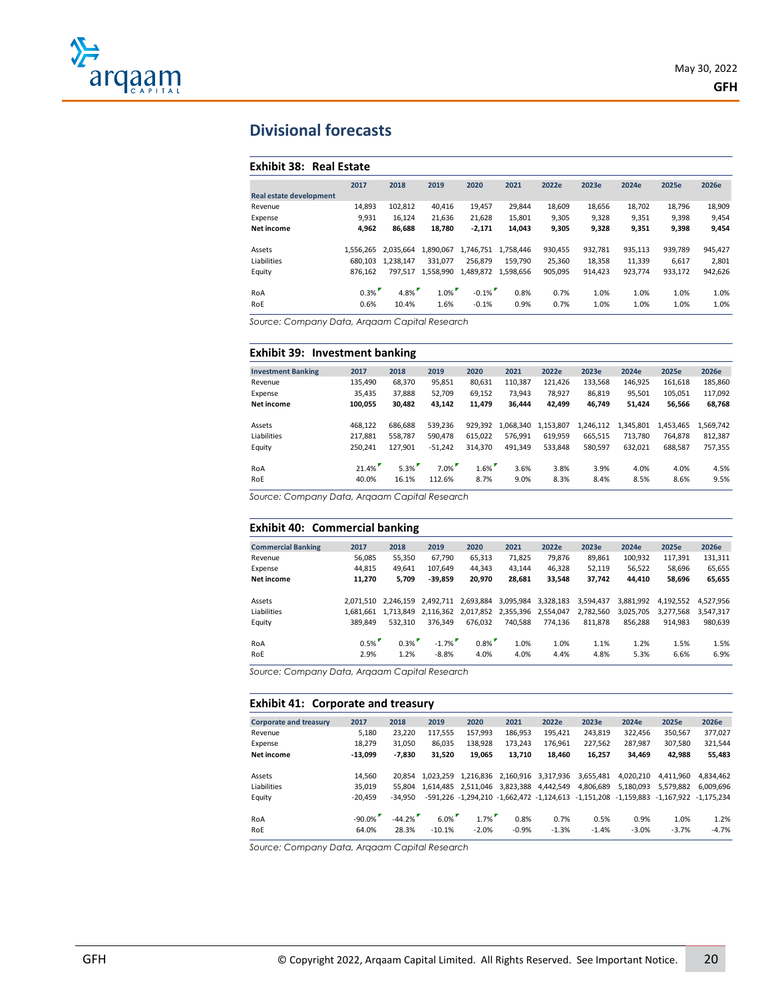

# **Divisional forecasts**

#### **Exhibit 38: Real Estate**

| 2017      | 2018      | 2019      | 2020         | 2021      | 2022e    | 2023e   | 2024e   | 2025e   | 2026e   |
|-----------|-----------|-----------|--------------|-----------|----------|---------|---------|---------|---------|
|           |           |           |              |           |          |         |         |         |         |
| 14.893    | 102.812   | 40.416    | 19.457       | 29.844    | 18.609   | 18.656  | 18.702  | 18.796  | 18,909  |
| 9.931     | 16.124    | 21,636    | 21,628       | 15,801    | 9,305    | 9,328   | 9,351   | 9,398   | 9,454   |
| 4,962     | 86.688    | 18.780    | $-2,171$     | 14,043    | 9,305    | 9,328   | 9,351   | 9,398   | 9,454   |
|           |           |           |              |           |          |         |         |         |         |
| 1.556.265 | 2.035.664 | 1,890,067 | 1.746.751    | 1.758.446 | 930,455  | 932,781 | 935,113 | 939,789 | 945,427 |
| 680.103   | 1.238.147 | 331.077   | 256.879      | 159.790   | 25,360   | 18,358  | 11,339  | 6,617   | 2,801   |
| 876.162   | 797.517   | 1.558.990 | 1,489,872    | 1.598.656 | 905,095  | 914.423 | 923.774 | 933.172 | 942,626 |
|           |           |           |              |           |          |         |         |         |         |
|           |           |           |              | 0.8%      | 0.7%     | 1.0%    | 1.0%    | 1.0%    | 1.0%    |
| 0.6%      | 10.4%     | 1.6%      | $-0.1%$      | 0.9%      | 0.7%     | 1.0%    | 1.0%    | 1.0%    | 1.0%    |
|           | 0.3%      |           | 1.0%<br>4.8% |           | $-0.1\%$ |         |         |         |         |

*Source: Company Data, Arqaam Capital Research*

#### **Exhibit 39: Investment banking**

| <b>Investment Banking</b> | 2017    | 2018    | 2019      | 2020    | 2021      | 2022e     | 2023e     | 2024e     | 2025e     | 2026e     |
|---------------------------|---------|---------|-----------|---------|-----------|-----------|-----------|-----------|-----------|-----------|
| Revenue                   | 135.490 | 68.370  | 95.851    | 80.631  | 110.387   | 121.426   | 133.568   | 146.925   | 161.618   | 185,860   |
| Expense                   | 35,435  | 37,888  | 52,709    | 69,152  | 73.943    | 78.927    | 86,819    | 95,501    | 105,051   | 117,092   |
| Net income                | 100,055 | 30,482  | 43,142    | 11,479  | 36.444    | 42,499    | 46,749    | 51,424    | 56,566    | 68,768    |
| Assets                    | 468.122 | 686.688 | 539.236   | 929.392 | 1.068.340 | 1,153,807 | 1,246,112 | 1,345,801 | 1,453,465 | 1,569,742 |
| Liabilities               | 217.881 | 558.787 | 590.478   | 615.022 | 576.991   | 619.959   | 665.515   | 713.780   | 764.878   | 812,387   |
| Equity                    | 250.241 | 127.901 | $-51.242$ | 314.370 | 491.349   | 533.848   | 580.597   | 632,021   | 688.587   | 757,355   |
| RoA                       | 21.4%   | 5.3%    | $7.0\%$   | $1.6\%$ | 3.6%      | 3.8%      | 3.9%      | 4.0%      | 4.0%      | 4.5%      |
| RoE                       | 40.0%   | 16.1%   | 112.6%    | 8.7%    | 9.0%      | 8.3%      | 8.4%      | 8.5%      | 8.6%      | 9.5%      |

*Source: Company Data, Arqaam Capital Research*

#### **Exhibit 40: Commercial banking**

| <b>Commercial Banking</b> | 2017         | 2018         | 2019                | 2020            | 2021         | 2022e        | 2023e        | 2024e        | 2025e        | 2026e        |
|---------------------------|--------------|--------------|---------------------|-----------------|--------------|--------------|--------------|--------------|--------------|--------------|
| Revenue                   | 56.085       | 55,350       | 67.790              | 65,313          | 71,825       | 79.876       | 89.861       | 100,932      | 117,391      | 131,311      |
| Expense                   | 44.815       | 49.641       | 107.649             | 44.343          | 43.144       | 46.328       | 52.119       | 56,522       | 58.696       | 65,655       |
| <b>Net income</b>         | 11.270       | 5.709        | $-39.859$           | 20.970          | 28.681       | 33.548       | 37.742       | 44.410       | 58,696       | 65,655       |
| Assets                    | 2.071.510    | 2.246.159    | 2.492.711           | 2.693.884       | 3,095,984    | 3,328,183    | 3.594.437    | 3.881.992    | 4.192.552    | 4.527.956    |
| Liabilities               | 1.681.661    | 1.713.849    | 2.116.362           | 2,017,852       | 2,355,396    | 2,554,047    | 2,782,560    | 3.025.705    | 3.277.568    | 3.547.317    |
| Equity                    | 389.849      | 532.310      | 376.349             | 676.032         | 740.588      | 774.136      | 811.878      | 856.288      | 914.983      | 980,639      |
| RoA<br>RoE                | 0.5%<br>2.9% | 0.3%<br>1.2% | $-1.7\%$<br>$-8.8%$ | $0.8\%$<br>4.0% | 1.0%<br>4.0% | 1.0%<br>4.4% | 1.1%<br>4.8% | 1.2%<br>5.3% | 1.5%<br>6.6% | 1.5%<br>6.9% |
|                           |              |              |                     |                 |              |              |              |              |              |              |

*Source: Company Data, Arqaam Capital Research*

#### **Exhibit 41: Corporate and treasury**

|                               | _______________ |           |           |           |           |                                           |              |              |                           |           |
|-------------------------------|-----------------|-----------|-----------|-----------|-----------|-------------------------------------------|--------------|--------------|---------------------------|-----------|
| <b>Corporate and treasury</b> | 2017            | 2018      | 2019      | 2020      | 2021      | 2022e                                     | 2023e        | 2024e        | 2025e                     | 2026e     |
| Revenue                       | 5,180           | 23.220    | 117,555   | 157.993   | 186.953   | 195.421                                   | 243.819      | 322,456      | 350.567                   | 377,027   |
| Expense                       | 18.279          | 31,050    | 86,035    | 138,928   | 173.243   | 176,961                                   | 227,562      | 287,987      | 307,580                   | 321,544   |
| <b>Net income</b>             | $-13.099$       | $-7.830$  | 31.520    | 19.065    | 13.710    | 18.460                                    | 16,257       | 34.469       | 42.988                    | 55,483    |
|                               |                 |           |           |           |           |                                           |              |              |                           |           |
| Assets                        | 14.560          | 20.854    | 1.023.259 | 1.216.836 | 2,160,916 | 3,317,936                                 | 3,655,481    | 4.020.210    | 4.411.960                 | 4.834.462 |
| Liabilities                   | 35.019          | 55.804    | 1.614.485 | 2.511.046 | 3,823,388 | 4,442,549                                 | 4,806,689    | 5.180.093    | 5,579,882                 | 6.009.696 |
| Equity                        | $-20.459$       | $-34.950$ |           |           |           | -591.226 -1.294.210 -1.662.472 -1.124.613 | $-1,151,208$ | $-1,159,883$ | $-1.167.922$ $-1.175.234$ |           |
|                               |                 |           |           |           |           |                                           |              |              |                           |           |
| RoA                           | $-90.0\%$       | $-44.2%$  | 6.0%      | 1.7%      | 0.8%      | 0.7%                                      | 0.5%         | 0.9%         | 1.0%                      | 1.2%      |
| RoE                           | 64.0%           | 28.3%     | $-10.1%$  | $-2.0%$   | $-0.9%$   | $-1.3%$                                   | $-1.4%$      | $-3.0%$      | $-3.7%$                   | $-4.7%$   |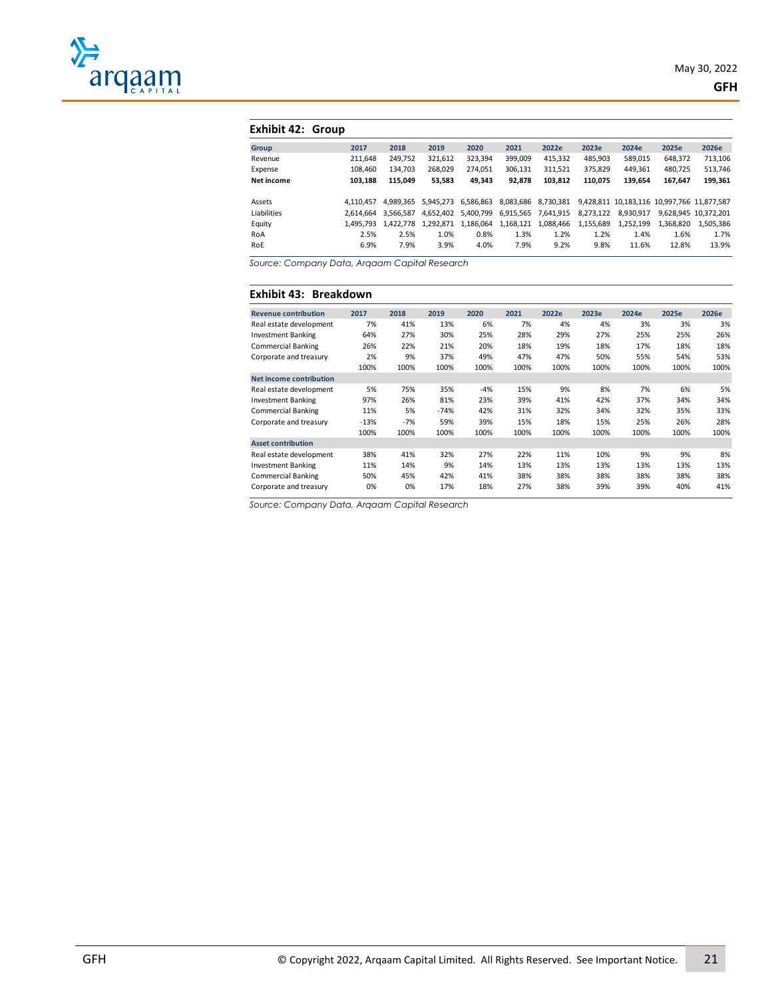

#### **Exhibit 42: Group**

| Group       | 2017      | 2018      | 2019      | 2020      | 2021      | 2022e               | 2023e     | 2024e     | 2025e                                      | 2026e                |
|-------------|-----------|-----------|-----------|-----------|-----------|---------------------|-----------|-----------|--------------------------------------------|----------------------|
| Revenue     | 211.648   | 249.752   | 321,612   | 323,394   | 399.009   | 415,332             | 485,903   | 589,015   | 648,372                                    | 713,106              |
| Expense     | 108.460   | 134.703   | 268.029   | 274,051   | 306,131   | 311,521             | 375,829   | 449,361   | 480,725                                    | 513,746              |
| Net income  | 103.188   | 115.049   | 53,583    | 49,343    | 92,878    | 103.812             | 110,075   | 139,654   | 167,647                                    | 199,361              |
|             |           |           |           |           |           |                     |           |           |                                            |                      |
| Assets      | 4.110.457 | 4.989.365 | 5.945.273 | 6,586,863 |           | 8,083,686 8,730,381 |           |           | 9,428,811 10,183,116 10,997,766 11,877,587 |                      |
| Liabilities | 2.614.664 | 3.566.587 | 4.652.402 | 5,400,799 |           | 6,915,565 7,641,915 | 8,273,122 | 8,930,917 |                                            | 9.628.945 10.372.201 |
| Equity      | 1.495.793 | 1.422.778 | 1,292,871 | 1,186,064 | 1,168,121 | 1,088,466           | 1,155,689 | 1,252,199 | 1.368.820                                  | 1.505.386            |
| RoA         | 2.5%      | 2.5%      | 1.0%      | 0.8%      | 1.3%      | 1.2%                | 1.2%      | 1.4%      | 1.6%                                       | 1.7%                 |
| RoE         | 6.9%      | 7.9%      | 3.9%      | 4.0%      | 7.9%      | 9.2%                | 9.8%      | 11.6%     | 12.8%                                      | 13.9%                |
|             |           |           |           |           |           |                     |           |           |                                            |                      |

*Source: Company Data, Arqaam Capital Research*

#### **Exhibit 43: Breakdown**

| <b>Revenue contribution</b>    | 2017   | 2018  | 2019   | 2020  | 2021 | 2022e | 2023e | 2024e | 2025e | 2026e |
|--------------------------------|--------|-------|--------|-------|------|-------|-------|-------|-------|-------|
| Real estate development        | 7%     | 41%   | 13%    | 6%    | 7%   | 4%    | 4%    | 3%    | 3%    | 3%    |
| <b>Investment Banking</b>      | 64%    | 27%   | 30%    | 25%   | 28%  | 29%   | 27%   | 25%   | 25%   | 26%   |
| <b>Commercial Banking</b>      | 26%    | 22%   | 21%    | 20%   | 18%  | 19%   | 18%   | 17%   | 18%   | 18%   |
| Corporate and treasury         | 2%     | 9%    | 37%    | 49%   | 47%  | 47%   | 50%   | 55%   | 54%   | 53%   |
|                                | 100%   | 100%  | 100%   | 100%  | 100% | 100%  | 100%  | 100%  | 100%  | 100%  |
| <b>Net income contribution</b> |        |       |        |       |      |       |       |       |       |       |
| Real estate development        | 5%     | 75%   | 35%    | $-4%$ | 15%  | 9%    | 8%    | 7%    | 6%    | 5%    |
| <b>Investment Banking</b>      | 97%    | 26%   | 81%    | 23%   | 39%  | 41%   | 42%   | 37%   | 34%   | 34%   |
| <b>Commercial Banking</b>      | 11%    | 5%    | $-74%$ | 42%   | 31%  | 32%   | 34%   | 32%   | 35%   | 33%   |
| Corporate and treasury         | $-13%$ | $-7%$ | 59%    | 39%   | 15%  | 18%   | 15%   | 25%   | 26%   | 28%   |
|                                | 100%   | 100%  | 100%   | 100%  | 100% | 100%  | 100%  | 100%  | 100%  | 100%  |
| <b>Asset contribution</b>      |        |       |        |       |      |       |       |       |       |       |
| Real estate development        | 38%    | 41%   | 32%    | 27%   | 22%  | 11%   | 10%   | 9%    | 9%    | 8%    |
| <b>Investment Banking</b>      | 11%    | 14%   | 9%     | 14%   | 13%  | 13%   | 13%   | 13%   | 13%   | 13%   |
| <b>Commercial Banking</b>      | 50%    | 45%   | 42%    | 41%   | 38%  | 38%   | 38%   | 38%   | 38%   | 38%   |
| Corporate and treasury         | 0%     | 0%    | 17%    | 18%   | 27%  | 38%   | 39%   | 39%   | 40%   | 41%   |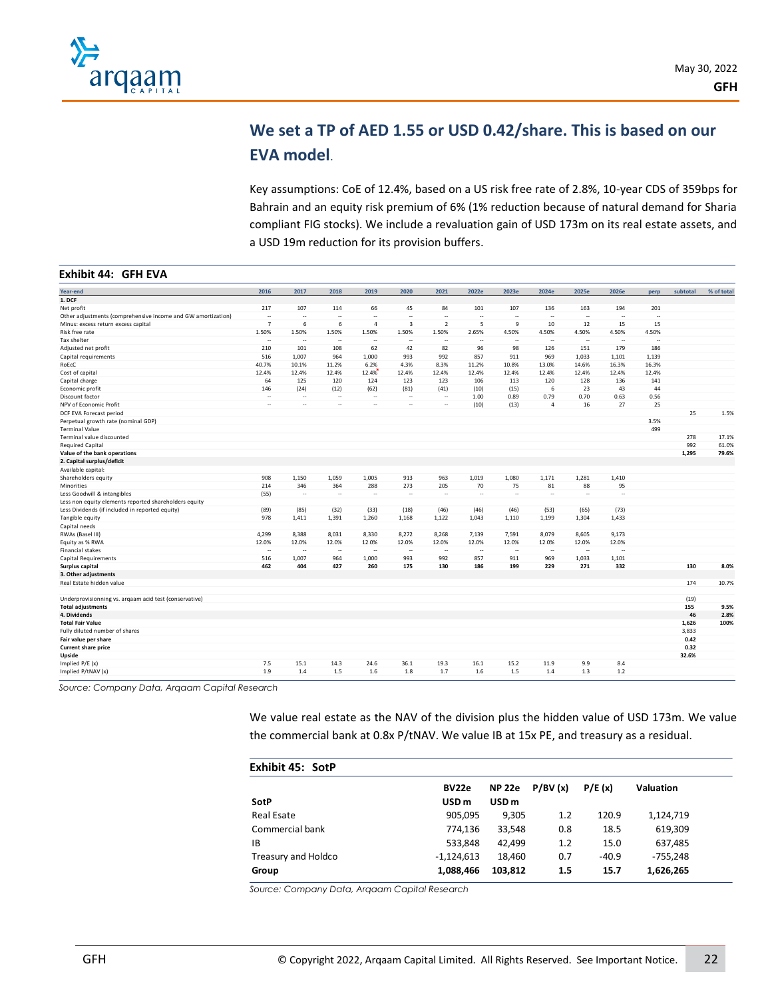

# **We set a TP of AED 1.55 or USD 0.42/share. This is based on our EVA model**.

Key assumptions: CoE of 12.4%, based on a US risk free rate of 2.8%, 10-year CDS of 359bps for Bahrain and an equity risk premium of 6% (1% reduction because of natural demand for Sharia compliant FIG stocks). We include a revaluation gain of USD 173m on its real estate assets, and a USD 19m reduction for its provision buffers.

| Year-end                                                     | 2016                     | 2017                     | 2018   | 2019           | 2020                     | 2021                     | 2022e  | 2023e                    | 2024e          | 2025e  | 2026e                    | perp   | subtotal | % of total |
|--------------------------------------------------------------|--------------------------|--------------------------|--------|----------------|--------------------------|--------------------------|--------|--------------------------|----------------|--------|--------------------------|--------|----------|------------|
| 1. DCF                                                       |                          |                          |        |                |                          |                          |        |                          |                |        |                          |        |          |            |
| Net profit                                                   | 217                      | 107                      | 114    | 66             | 45                       | 84                       | 101    | 107                      | 136            | 163    | 194                      | 201    |          |            |
| Other adjustments (comprehensive income and GW amortization) | $\overline{\phantom{a}}$ | $\sim$                   | $\sim$ | ÷.             | ÷.                       | ÷.                       | $\sim$ | $\overline{\phantom{a}}$ | $\sim$         | $\sim$ | ă.                       | $\sim$ |          |            |
| Minus: excess return excess capital                          | $\overline{7}$           | 6                        | 6      | $\overline{a}$ | $\overline{\mathbf{3}}$  | $\overline{2}$           | 5      | 9                        | 10             | 12     | 15                       | 15     |          |            |
| Risk free rate                                               | 1.50%                    | 1.50%                    | 1.50%  | 1.50%          | 1.50%                    | 1.50%                    | 2.65%  | 4.50%                    | 4.50%          | 4.50%  | 4.50%                    | 4.50%  |          |            |
| Tax shelter                                                  | u,                       | $\sim$                   | $\sim$ | ă.             | ÷.                       | $\overline{\phantom{a}}$ | $\sim$ | ÷.                       | $\sim$         | ÷.     | $\overline{\phantom{a}}$ | $\sim$ |          |            |
| Adjusted net profit                                          | 210                      | 101                      | 108    | 62             | 42                       | 82                       | 96     | 98                       | 126            | 151    | 179                      | 186    |          |            |
| Capital requirements                                         | 516                      | 1,007                    | 964    | 1,000          | 993                      | 992                      | 857    | 911                      | 969            | 1,033  | 1,101                    | 1.139  |          |            |
| RoEcC                                                        | 40.7%                    | 10.1%                    | 11.2%  | 6.2%           | 4.3%                     | 8.3%                     | 11.2%  | 10.8%                    | 13.0%          | 14.6%  | 16.3%                    | 16.3%  |          |            |
| Cost of capital                                              | 12.4%                    | 12.4%                    | 12.4%  | 12.4%          | 12.4%                    | 12.4%                    | 12.4%  | 12.4%                    | 12.4%          | 12.4%  | 12.4%                    | 12.4%  |          |            |
| Capital charge                                               | 64                       | 125                      | 120    | 124            | 123                      | 123                      | 106    | 113                      | 120            | 128    | 136                      | 141    |          |            |
| Economic profit                                              | 146                      | (24)                     | (12)   | (62)           | (81)                     | (41)                     | (10)   | (15)                     | 6              | 23     | 43                       | 44     |          |            |
| Discount factor                                              | $\overline{\phantom{a}}$ | ÷.                       | $\sim$ | $\sim$         | $\overline{\phantom{a}}$ | $\overline{\phantom{a}}$ | 1.00   | 0.89                     | 0.79           | 0.70   | 0.63                     | 0.56   |          |            |
| NPV of Economic Profit                                       | ۰.                       | $\overline{\phantom{a}}$ | $\sim$ | $\sim$         | $\overline{\phantom{a}}$ |                          | (10)   | (13)                     | $\overline{4}$ | 16     | 27                       | 25     |          |            |
| DCF EVA Forecast period                                      |                          |                          |        |                |                          |                          |        |                          |                |        |                          |        | 25       | 1.5%       |
| Perpetual growth rate (nominal GDP)                          |                          |                          |        |                |                          |                          |        |                          |                |        |                          | 3.5%   |          |            |
| <b>Terminal Value</b>                                        |                          |                          |        |                |                          |                          |        |                          |                |        |                          | 499    |          |            |
| Terminal value discounted                                    |                          |                          |        |                |                          |                          |        |                          |                |        |                          |        | 278      | 17.1%      |
| <b>Required Capital</b>                                      |                          |                          |        |                |                          |                          |        |                          |                |        |                          |        | 992      | 61.0%      |
| Value of the bank operations                                 |                          |                          |        |                |                          |                          |        |                          |                |        |                          |        | 1,295    | 79.6%      |
| 2. Capital surplus/deficit                                   |                          |                          |        |                |                          |                          |        |                          |                |        |                          |        |          |            |
| Available capital:                                           |                          |                          |        |                |                          |                          |        |                          |                |        |                          |        |          |            |
| Shareholders equity                                          | 908                      | 1,150                    | 1,059  | 1,005          | 913                      | 963                      | 1,019  | 1,080                    | 1,171          | 1,281  | 1,410                    |        |          |            |
| Minorities                                                   | 214                      | 346                      | 364    | 288            | 273                      | 205                      | 70     | 75                       | 81             | 88     | 95                       |        |          |            |
| Less Goodwill & intangibles                                  | (55)                     | $\sim$                   | $\sim$ | $\sim$         | $\ddot{\phantom{1}}$     | $\overline{\phantom{a}}$ | $\sim$ | $\ddot{\phantom{1}}$     | $\sim$         | $\sim$ | $\overline{a}$           |        |          |            |
| Less non equity elements reported shareholders equity        |                          |                          |        |                |                          |                          |        |                          |                |        |                          |        |          |            |
| Less Dividends (if included in reported equity)              | (89)                     | (85)                     | (32)   | (33)           | (18)                     | (46)                     | (46)   | (46)                     | (53)           | (65)   | (73)                     |        |          |            |
| Tangible equity                                              | 978                      | 1.411                    | 1,391  | 1,260          | 1,168                    | 1.122                    | 1.043  | 1,110                    | 1,199          | 1,304  | 1,433                    |        |          |            |
| Capital needs                                                |                          |                          |        |                |                          |                          |        |                          |                |        |                          |        |          |            |
| RWAs (Basel III)                                             | 4,299                    | 8,388                    | 8,031  | 8,330          | 8,272                    | 8,268                    | 7,139  | 7,591                    | 8,079          | 8,605  | 9,173                    |        |          |            |
| Equity as % RWA                                              | 12.0%                    | 12.0%                    | 12.0%  | 12.0%          | 12.0%                    | 12.0%                    | 12.0%  | 12.0%                    | 12.0%          | 12.0%  | 12.0%                    |        |          |            |
| <b>Financial stakes</b>                                      | $\overline{\phantom{a}}$ | ٠.                       | $\sim$ | ٠.             | $\ddot{\phantom{0}}$     | $\overline{\phantom{a}}$ | $\sim$ | $\overline{\phantom{a}}$ | $\sim$         | $\sim$ |                          |        |          |            |
| Capital Requirements                                         | 516                      | 1,007                    | 964    | 1,000          | 993                      | 992                      | 857    | 911                      | 969            | 1,033  | 1,101                    |        |          |            |
| Surplus capital                                              | 462                      | 404                      | 427    | 260            | 175                      | 130                      | 186    | 199                      | 229            | 271    | 332                      |        | 130      | 8.0%       |
| 3. Other adjustments                                         |                          |                          |        |                |                          |                          |        |                          |                |        |                          |        |          |            |
| Real Estate hidden value                                     |                          |                          |        |                |                          |                          |        |                          |                |        |                          |        | 174      | 10.7%      |
|                                                              |                          |                          |        |                |                          |                          |        |                          |                |        |                          |        |          |            |
| Underprovisionning vs. arqaam acid test (conservative)       |                          |                          |        |                |                          |                          |        |                          |                |        |                          |        | (19)     |            |
| <b>Total adjustments</b>                                     |                          |                          |        |                |                          |                          |        |                          |                |        |                          |        | 155      | 9.5%       |
| 4. Dividends                                                 |                          |                          |        |                |                          |                          |        |                          |                |        |                          |        | 46       | 2.8%       |
| <b>Total Fair Value</b>                                      |                          |                          |        |                |                          |                          |        |                          |                |        |                          |        | 1,626    | 100%       |
| Fully diluted number of shares                               |                          |                          |        |                |                          |                          |        |                          |                |        |                          |        | 3,833    |            |
| Fair value per share                                         |                          |                          |        |                |                          |                          |        |                          |                |        |                          |        | 0.42     |            |
| Current share price                                          |                          |                          |        |                |                          |                          |        |                          |                |        |                          |        | 0.32     |            |
| Upside                                                       |                          |                          |        |                |                          |                          |        |                          |                |        |                          |        | 32.6%    |            |
| Implied P/E (x)                                              | 7.5                      | 15.1                     | 14.3   | 24.6           | 36.1                     | 19.3                     | 16.1   | 15.2                     | 11.9           | 9.9    | 8.4                      |        |          |            |
| Implied P/tNAV (x)                                           | 1.9                      | 1.4                      | 1.5    | 1.6            | 1.8                      | 1.7                      | 1.6    | 1.5                      | 1.4            | 1.3    | 1.2                      |        |          |            |
|                                                              |                          |                          |        |                |                          |                          |        |                          |                |        |                          |        |          |            |

*Source: Company Data, Arqaam Capital Research*

We value real estate as the NAV of the division plus the hidden value of USD 173m. We value the commercial bank at 0.8x P/tNAV. We value IB at 15x PE, and treasury as a residual.

| <b>Exhibit 45: SotP</b> |                  |                  |         |         |                  |
|-------------------------|------------------|------------------|---------|---------|------------------|
|                         | BV22e            | <b>NP 22e</b>    | P/BV(x) | P/E(x)  | <b>Valuation</b> |
| SotP                    | USD <sub>m</sub> | USD <sub>m</sub> |         |         |                  |
| Real Esate              | 905,095          | 9,305            | 1.2     | 120.9   | 1,124,719        |
| Commercial bank         | 774,136          | 33,548           | 0.8     | 18.5    | 619,309          |
| ΙB                      | 533.848          | 42.499           | 1.2     | 15.0    | 637,485          |
| Treasury and Holdco     | $-1,124,613$     | 18,460           | 0.7     | $-40.9$ | $-755,248$       |
| Group                   | 1,088,466        | 103,812          | 1.5     | 15.7    | 1,626,265        |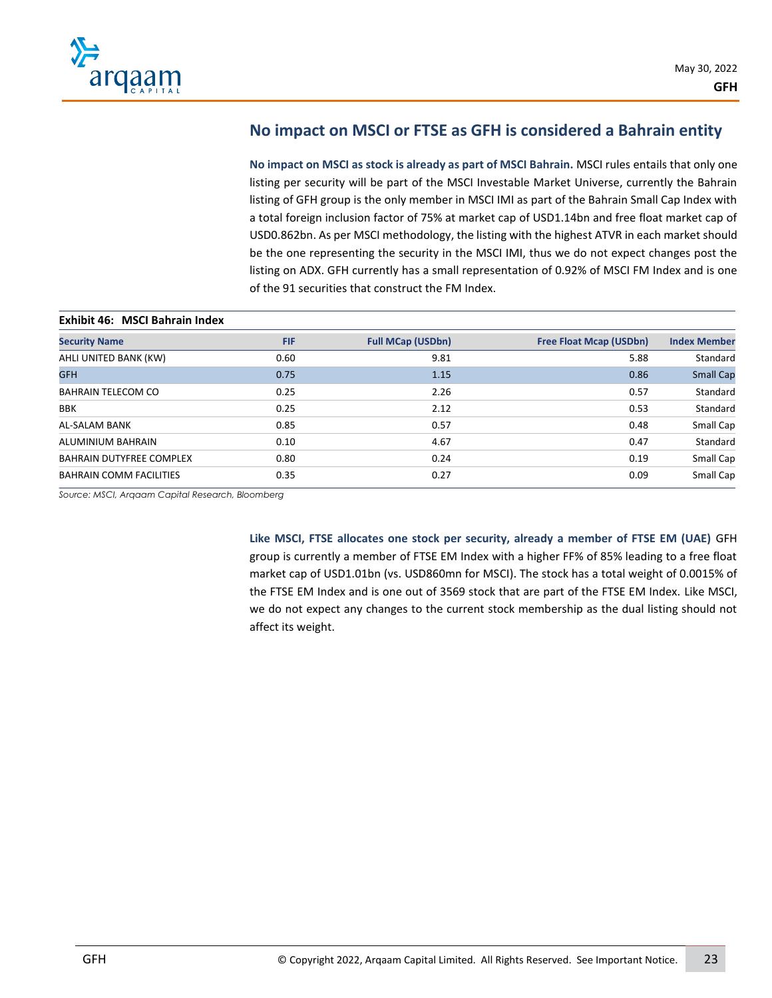

# **No impact on MSCI or FTSE as GFH is considered a Bahrain entity**

**No impact on MSCI as stock is already as part of MSCI Bahrain.** MSCI rules entails that only one listing per security will be part of the MSCI Investable Market Universe, currently the Bahrain listing of GFH group is the only member in MSCI IMI as part of the Bahrain Small Cap Index with a total foreign inclusion factor of 75% at market cap of USD1.14bn and free float market cap of USD0.862bn. As per MSCI methodology, the listing with the highest ATVR in each market should be the one representing the security in the MSCI IMI, thus we do not expect changes post the listing on ADX. GFH currently has a small representation of 0.92% of MSCI FM Index and is one of the 91 securities that construct the FM Index.

#### **Exhibit 46: MSCI Bahrain Index**

| <b>Full MCap (USDbn)</b> | <b>Free Float Mcap (USDbn)</b> | <b>Index Member</b> |
|--------------------------|--------------------------------|---------------------|
|                          |                                |                     |
|                          |                                | Standard            |
| 1.15                     | 0.86                           | <b>Small Cap</b>    |
| 2.26                     | 0.57                           | Standard            |
| 2.12                     | 0.53                           | Standard            |
| 0.57                     | 0.48                           | Small Cap           |
| 4.67                     | 0.47                           | Standard            |
| 0.24                     | 0.19                           | Small Cap           |
| 0.27                     | 0.09                           | Small Cap           |
|                          |                                | 9.81<br>5.88        |

*Source: MSCI, Arqaam Capital Research, Bloomberg*

**Like MSCI, FTSE allocates one stock per security, already a member of FTSE EM (UAE)** GFH group is currently a member of FTSE EM Index with a higher FF% of 85% leading to a free float market cap of USD1.01bn (vs. USD860mn for MSCI). The stock has a total weight of 0.0015% of the FTSE EM Index and is one out of 3569 stock that are part of the FTSE EM Index. Like MSCI, we do not expect any changes to the current stock membership as the dual listing should not affect its weight.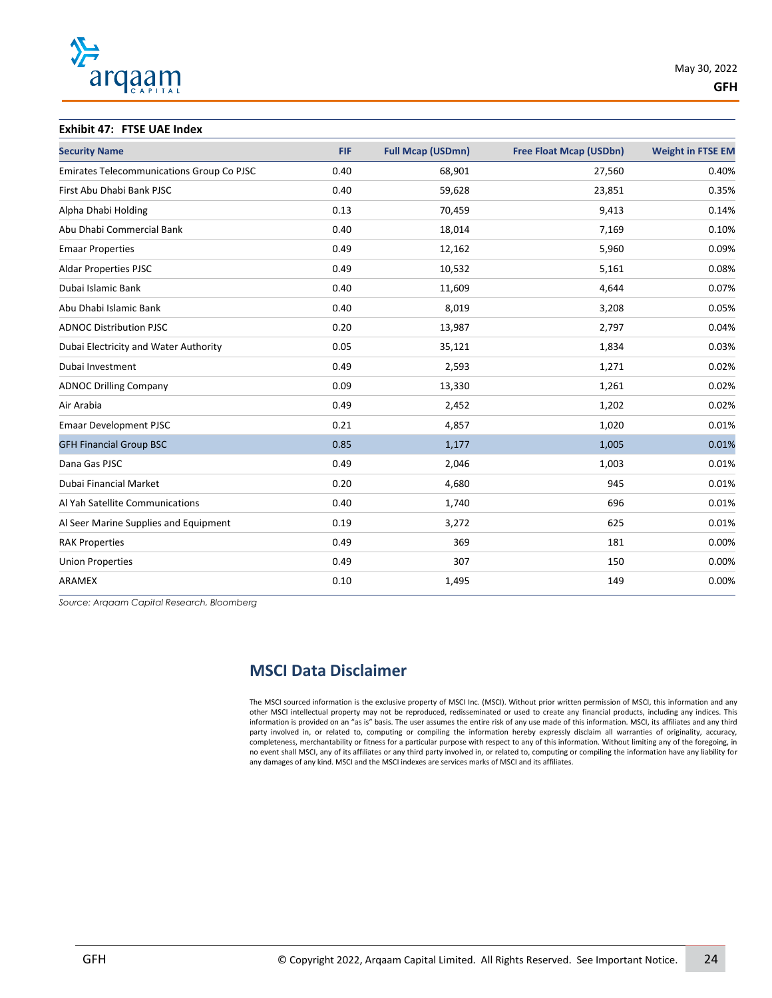

#### **Exhibit 47: FTSE UAE Index**

| <b>Security Name</b>                      | <b>FIF</b> | <b>Full Mcap (USDmn)</b> | <b>Free Float Mcap (USDbn)</b> | <b>Weight in FTSE EM</b> |
|-------------------------------------------|------------|--------------------------|--------------------------------|--------------------------|
| Emirates Telecommunications Group Co PJSC | 0.40       | 68,901                   | 27,560                         | 0.40%                    |
| First Abu Dhabi Bank PJSC                 | 0.40       | 59,628                   | 23,851                         | 0.35%                    |
| Alpha Dhabi Holding                       | 0.13       | 70,459                   | 9,413                          | 0.14%                    |
| Abu Dhabi Commercial Bank                 | 0.40       | 18,014                   | 7,169                          | 0.10%                    |
| <b>Emaar Properties</b>                   | 0.49       | 12,162                   | 5,960                          | 0.09%                    |
| <b>Aldar Properties PJSC</b>              | 0.49       | 10,532                   | 5,161                          | 0.08%                    |
| Dubai Islamic Bank                        | 0.40       | 11,609                   | 4,644                          | 0.07%                    |
| Abu Dhabi Islamic Bank                    | 0.40       | 8,019                    | 3,208                          | 0.05%                    |
| <b>ADNOC Distribution PJSC</b>            | 0.20       | 13,987                   | 2,797                          | 0.04%                    |
| Dubai Electricity and Water Authority     | 0.05       | 35,121                   | 1,834                          | 0.03%                    |
| Dubai Investment                          | 0.49       | 2,593                    | 1,271                          | 0.02%                    |
| <b>ADNOC Drilling Company</b>             | 0.09       | 13,330                   | 1,261                          | 0.02%                    |
| Air Arabia                                | 0.49       | 2,452                    | 1,202                          | 0.02%                    |
| <b>Emaar Development PJSC</b>             | 0.21       | 4,857                    | 1,020                          | 0.01%                    |
| <b>GFH Financial Group BSC</b>            | 0.85       | 1,177                    | 1,005                          | 0.01%                    |
| Dana Gas PJSC                             | 0.49       | 2,046                    | 1,003                          | 0.01%                    |
| Dubai Financial Market                    | 0.20       | 4,680                    | 945                            | 0.01%                    |
| Al Yah Satellite Communications           | 0.40       | 1,740                    | 696                            | 0.01%                    |
| Al Seer Marine Supplies and Equipment     | 0.19       | 3,272                    | 625                            | 0.01%                    |
| <b>RAK Properties</b>                     | 0.49       | 369                      | 181                            | 0.00%                    |
| <b>Union Properties</b>                   | 0.49       | 307                      | 150                            | 0.00%                    |
| ARAMEX                                    | 0.10       | 1,495                    | 149                            | 0.00%                    |
|                                           |            |                          |                                |                          |

*Source: Arqaam Capital Research, Bloomberg*

# **MSCI Data Disclaimer**

The MSCI sourced information is the exclusive property of MSCI Inc. (MSCI). Without prior written permission of MSCI, this information and any other MSCI intellectual property may not be reproduced, redisseminated or used to create any financial products, including any indices. This information is provided on an "as is" basis. The user assumes the entire risk of any use made of this information. MSCI, its affiliates and any third party involved in, or related to, computing or compiling the information hereby expressly disclaim all warranties of originality, accuracy, completeness, merchantability or fitness for a particular purpose with respect to any of this information. Without limiting any of the foregoing, in no event shall MSCI, any of its affiliates or any third party involved in, or related to, computing or compiling the information have any liability for any damages of any kind. MSCI and the MSCI indexes are services marks of MSCI and its affiliates.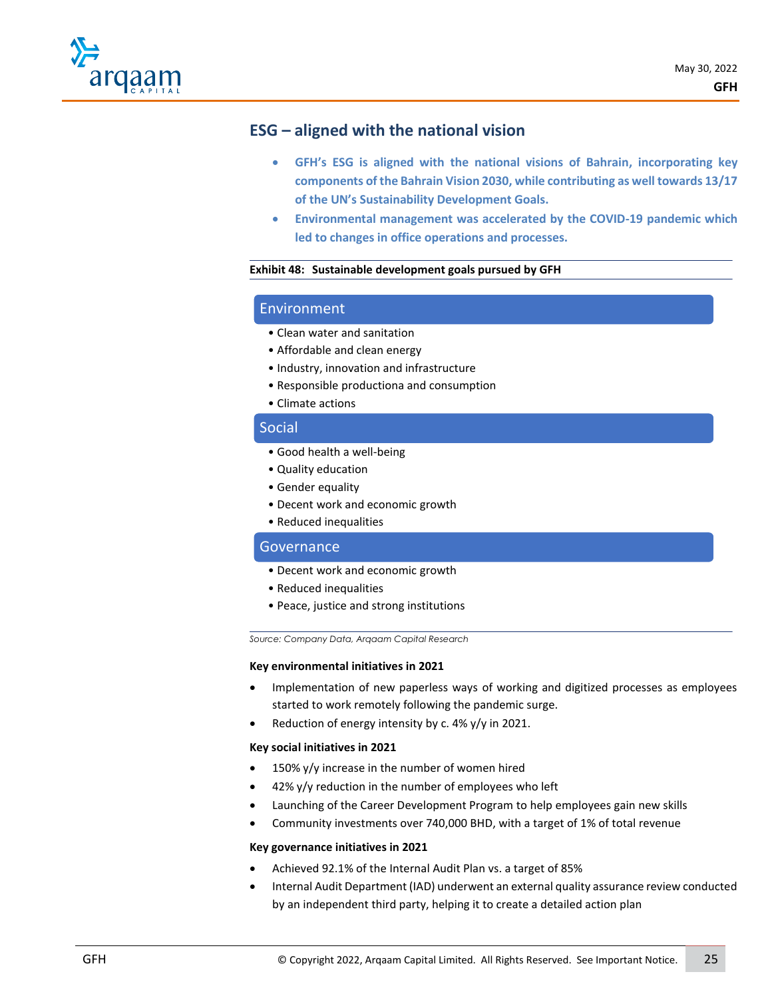

# **ESG – aligned with the national vision**

- **GFH's ESG is aligned with the national visions of Bahrain, incorporating key components of the Bahrain Vision 2030, while contributing as well towards 13/17 of the UN's Sustainability Development Goals.**
- **Environmental management was accelerated by the COVID-19 pandemic which led to changes in office operations and processes.**

#### **Exhibit 48: Sustainable development goals pursued by GFH**

### Environment

- Clean water and sanitation
- Affordable and clean energy
- Industry, innovation and infrastructure
- Responsible productiona and consumption
- Climate actions

### Social

- Good health a well-being
- Quality education
- Gender equality
- Decent work and economic growth
- Reduced inequalities

### **Governance**

- Decent work and economic growth
- Reduced inequalities
- Peace, justice and strong institutions

*Source: Company Data, Arqaam Capital Research*

#### **Key environmental initiatives in 2021**

- Implementation of new paperless ways of working and digitized processes as employees started to work remotely following the pandemic surge.
- Reduction of energy intensity by c. 4% y/y in 2021.

#### **Key social initiatives in 2021**

- 150%  $y/y$  increase in the number of women hired
- $42\%$  y/y reduction in the number of employees who left
- Launching of the Career Development Program to help employees gain new skills
- Community investments over 740,000 BHD, with a target of 1% of total revenue

#### **Key governance initiatives in 2021**

- Achieved 92.1% of the Internal Audit Plan vs. a target of 85%
- Internal Audit Department (IAD) underwent an external quality assurance review conducted by an independent third party, helping it to create a detailed action plan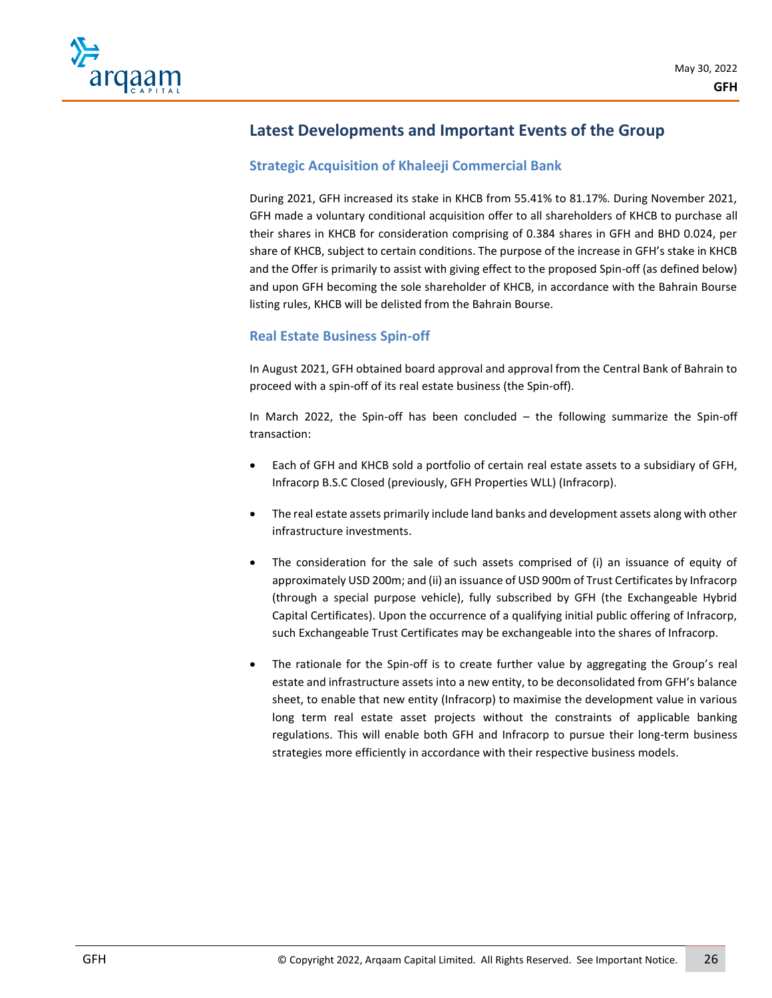

# **Latest Developments and Important Events of the Group**

# **Strategic Acquisition of Khaleeji Commercial Bank**

During 2021, GFH increased its stake in KHCB from 55.41% to 81.17%. During November 2021, GFH made a voluntary conditional acquisition offer to all shareholders of KHCB to purchase all their shares in KHCB for consideration comprising of 0.384 shares in GFH and BHD 0.024, per share of KHCB, subject to certain conditions. The purpose of the increase in GFH's stake in KHCB and the Offer is primarily to assist with giving effect to the proposed Spin-off (as defined below) and upon GFH becoming the sole shareholder of KHCB, in accordance with the Bahrain Bourse listing rules, KHCB will be delisted from the Bahrain Bourse.

## **Real Estate Business Spin-off**

In August 2021, GFH obtained board approval and approval from the Central Bank of Bahrain to proceed with a spin-off of its real estate business (the Spin-off).

In March 2022, the Spin-off has been concluded – the following summarize the Spin-off transaction:

- Each of GFH and KHCB sold a portfolio of certain real estate assets to a subsidiary of GFH, Infracorp B.S.C Closed (previously, GFH Properties WLL) (Infracorp).
- The real estate assets primarily include land banks and development assets along with other infrastructure investments.
- The consideration for the sale of such assets comprised of (i) an issuance of equity of approximately USD 200m; and (ii) an issuance of USD 900m of Trust Certificates by Infracorp (through a special purpose vehicle), fully subscribed by GFH (the Exchangeable Hybrid Capital Certificates). Upon the occurrence of a qualifying initial public offering of Infracorp, such Exchangeable Trust Certificates may be exchangeable into the shares of Infracorp.
- The rationale for the Spin-off is to create further value by aggregating the Group's real estate and infrastructure assets into a new entity, to be deconsolidated from GFH's balance sheet, to enable that new entity (Infracorp) to maximise the development value in various long term real estate asset projects without the constraints of applicable banking regulations. This will enable both GFH and Infracorp to pursue their long-term business strategies more efficiently in accordance with their respective business models.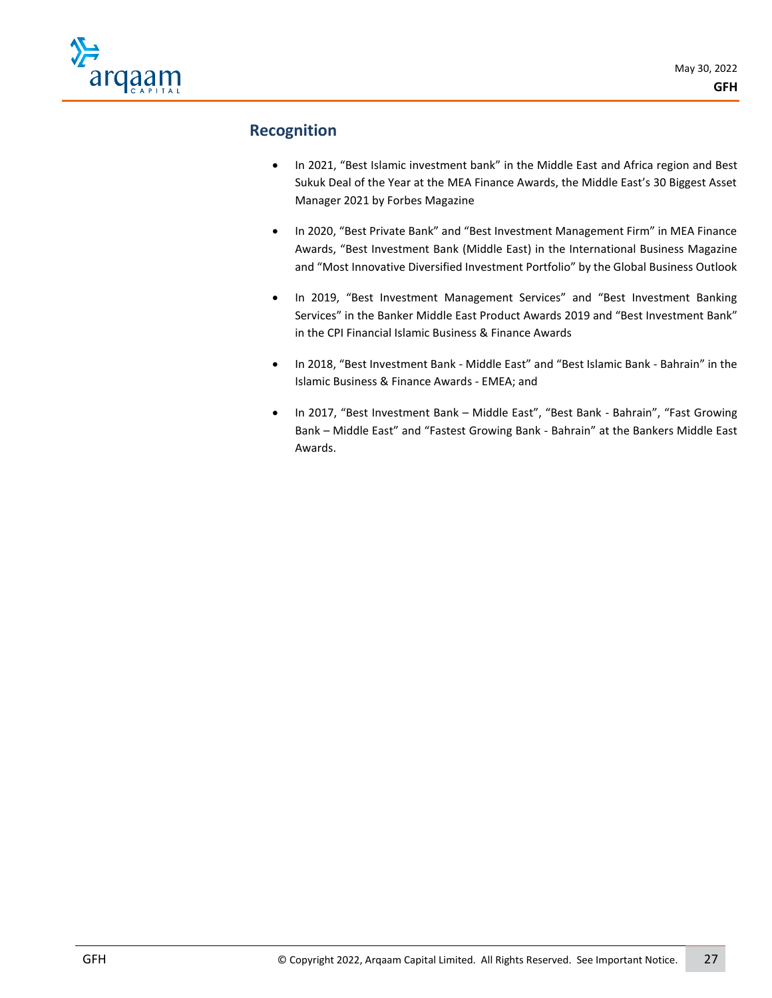

# **Recognition**

- In 2021, "Best Islamic investment bank" in the Middle East and Africa region and Best Sukuk Deal of the Year at the MEA Finance Awards, the Middle East's 30 Biggest Asset Manager 2021 by Forbes Magazine
- In 2020, "Best Private Bank" and "Best Investment Management Firm" in MEA Finance Awards, "Best Investment Bank (Middle East) in the International Business Magazine and "Most Innovative Diversified Investment Portfolio" by the Global Business Outlook
- In 2019, "Best Investment Management Services" and "Best Investment Banking Services" in the Banker Middle East Product Awards 2019 and "Best Investment Bank" in the CPI Financial Islamic Business & Finance Awards
- In 2018, "Best Investment Bank Middle East" and "Best Islamic Bank Bahrain" in the Islamic Business & Finance Awards - EMEA; and
- In 2017, "Best Investment Bank Middle East", "Best Bank Bahrain", "Fast Growing Bank – Middle East" and "Fastest Growing Bank - Bahrain" at the Bankers Middle East Awards.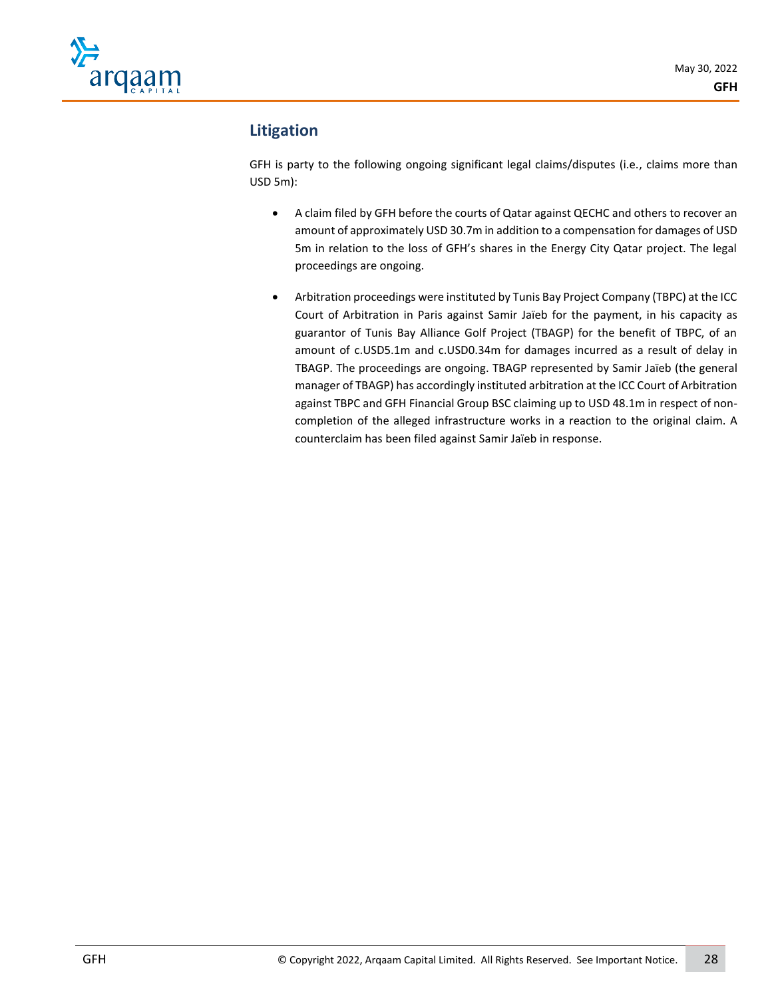

# **Litigation**

GFH is party to the following ongoing significant legal claims/disputes (i.e., claims more than USD 5m):

- A claim filed by GFH before the courts of Qatar against QECHC and others to recover an amount of approximately USD 30.7m in addition to a compensation for damages of USD 5m in relation to the loss of GFH's shares in the Energy City Qatar project. The legal proceedings are ongoing.
- Arbitration proceedings were instituted by Tunis Bay Project Company (TBPC) at the ICC Court of Arbitration in Paris against Samir Jaïeb for the payment, in his capacity as guarantor of Tunis Bay Alliance Golf Project (TBAGP) for the benefit of TBPC, of an amount of c.USD5.1m and c.USD0.34m for damages incurred as a result of delay in TBAGP. The proceedings are ongoing. TBAGP represented by Samir Jaïeb (the general manager of TBAGP) has accordingly instituted arbitration at the ICC Court of Arbitration against TBPC and GFH Financial Group BSC claiming up to USD 48.1m in respect of noncompletion of the alleged infrastructure works in a reaction to the original claim. A counterclaim has been filed against Samir Jaïeb in response.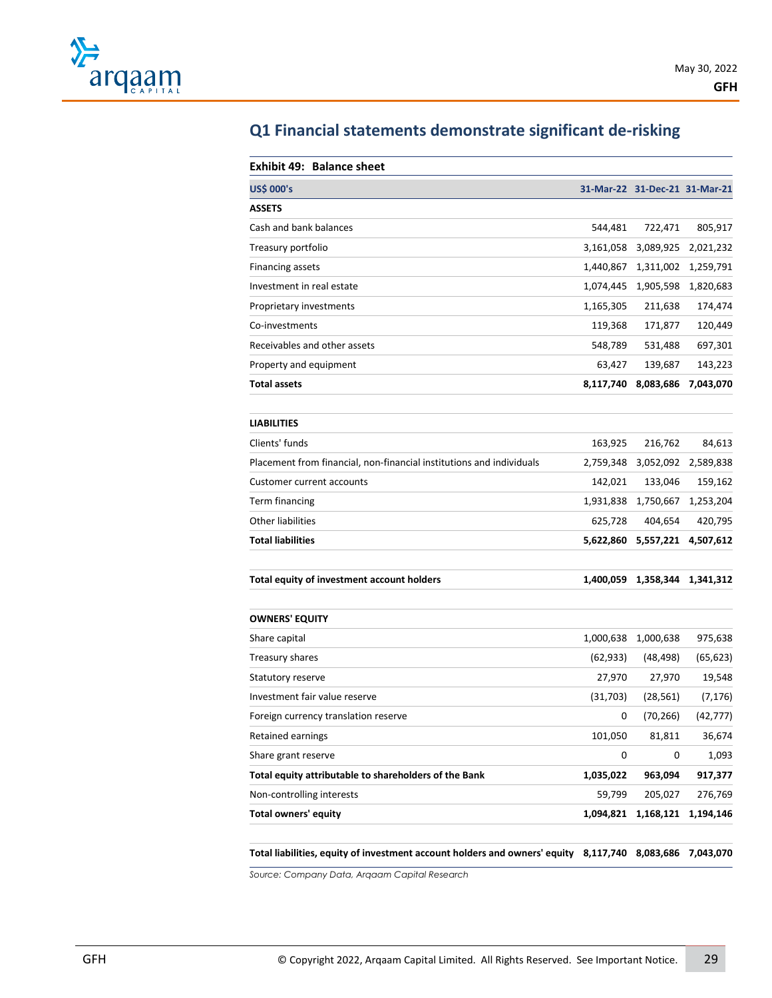

| <b>US\$ 000's</b>            |           | 31-Mar-22 31-Dec-21 31-Mar-21 |           |
|------------------------------|-----------|-------------------------------|-----------|
| <b>ASSETS</b>                |           |                               |           |
| Cash and bank balances       | 544,481   | 722,471                       | 805,917   |
| Treasury portfolio           | 3,161,058 | 3,089,925                     | 2,021,232 |
| Financing assets             | 1,440,867 | 1,311,002                     | 1,259,791 |
| Investment in real estate    | 1,074,445 | 1,905,598                     | 1,820,683 |
| Proprietary investments      | 1,165,305 | 211,638                       | 174,474   |
| Co-investments               | 119,368   | 171,877                       | 120,449   |
| Receivables and other assets | 548,789   | 531,488                       | 697,301   |
| Property and equipment       | 63,427    | 139,687                       | 143,223   |
| <b>Total assets</b>          | 8,117,740 | 8,083,686                     | 7,043,070 |

# **Q1 Financial statements demonstrate significant de-risking**

| <b>LIABILITIES</b>                                                   |           |           |           |
|----------------------------------------------------------------------|-----------|-----------|-----------|
| Clients' funds                                                       | 163.925   | 216.762   | 84.613    |
| Placement from financial, non-financial institutions and individuals | 2.759.348 | 3,052,092 | 2.589.838 |
| Customer current accounts                                            | 142.021   | 133.046   | 159.162   |
| Term financing                                                       | 1.931.838 | 1,750,667 | 1.253.204 |
| Other liabilities                                                    | 625.728   | 404.654   | 420.795   |
| <b>Total liabilities</b>                                             | 5,622,860 | 5,557,221 | 4,507,612 |
|                                                                      |           |           |           |

**Total equity of investment account holders 1,400,059 1,358,344 1,341,312**

| <b>OWNERS' EQUITY</b>                                 |           |           |           |
|-------------------------------------------------------|-----------|-----------|-----------|
| Share capital                                         | 1,000,638 | 1,000,638 | 975,638   |
| Treasury shares                                       | (62, 933) | (48, 498) | (65, 623) |
| Statutory reserve                                     | 27,970    | 27,970    | 19,548    |
| Investment fair value reserve                         | (31,703)  | (28, 561) | (7, 176)  |
| Foreign currency translation reserve                  | 0         | (70, 266) | (42, 777) |
| Retained earnings                                     | 101,050   | 81,811    | 36,674    |
| Share grant reserve                                   | 0         | 0         | 1,093     |
| Total equity attributable to shareholders of the Bank | 1,035,022 | 963,094   | 917,377   |
| Non-controlling interests                             | 59,799    | 205,027   | 276,769   |
| Total owners' equity                                  | 1,094,821 | 1,168,121 | 1,194,146 |

**Total liabilities, equity of investment account holders and owners' equity 8,117,740 8,083,686 7,043,070**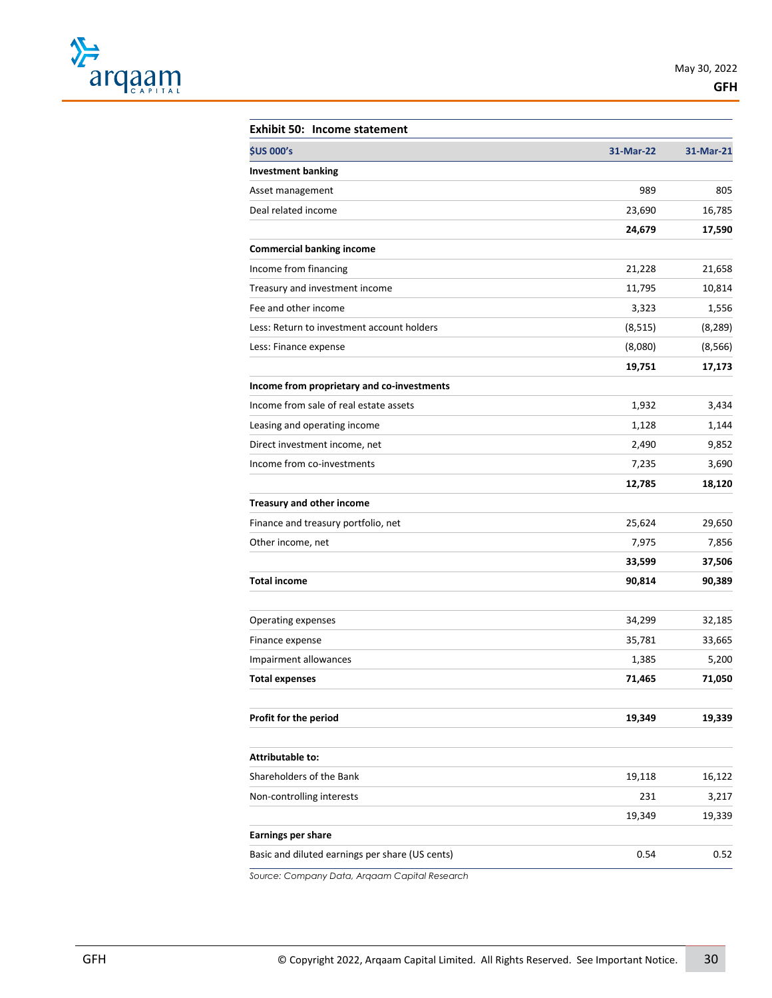

| <b>Exhibit 50: Income statement</b>             |           |           |
|-------------------------------------------------|-----------|-----------|
| <b>\$US 000's</b>                               | 31-Mar-22 | 31-Mar-21 |
| <b>Investment banking</b>                       |           |           |
| Asset management                                | 989       | 805       |
| Deal related income                             | 23,690    | 16,785    |
|                                                 | 24,679    | 17,590    |
| <b>Commercial banking income</b>                |           |           |
| Income from financing                           | 21,228    | 21,658    |
| Treasury and investment income                  | 11,795    | 10,814    |
| Fee and other income                            | 3,323     | 1,556     |
| Less: Return to investment account holders      | (8, 515)  | (8, 289)  |
| Less: Finance expense                           | (8,080)   | (8, 566)  |
|                                                 | 19,751    | 17,173    |
| Income from proprietary and co-investments      |           |           |
| Income from sale of real estate assets          | 1,932     | 3,434     |
| Leasing and operating income                    | 1,128     | 1,144     |
| Direct investment income, net                   | 2,490     | 9,852     |
| Income from co-investments                      | 7,235     | 3,690     |
|                                                 | 12,785    | 18,120    |
| Treasury and other income                       |           |           |
| Finance and treasury portfolio, net             | 25,624    | 29,650    |
| Other income, net                               | 7,975     | 7,856     |
|                                                 | 33,599    | 37,506    |
| <b>Total income</b>                             | 90,814    | 90,389    |
|                                                 |           |           |
| Operating expenses                              | 34,299    | 32,185    |
| Finance expense                                 | 35,781    | 33,665    |
| Impairment allowances                           | 1,385     | 5,200     |
| <b>Total expenses</b>                           | 71,465    | 71,050    |
|                                                 |           |           |
| Profit for the period                           | 19,349    | 19,339    |
|                                                 |           |           |
| <b>Attributable to:</b>                         |           |           |
| Shareholders of the Bank                        | 19,118    | 16,122    |
| Non-controlling interests                       | 231       | 3,217     |
|                                                 | 19,349    | 19,339    |
| <b>Earnings per share</b>                       |           |           |
| Basic and diluted earnings per share (US cents) | 0.54      | 0.52      |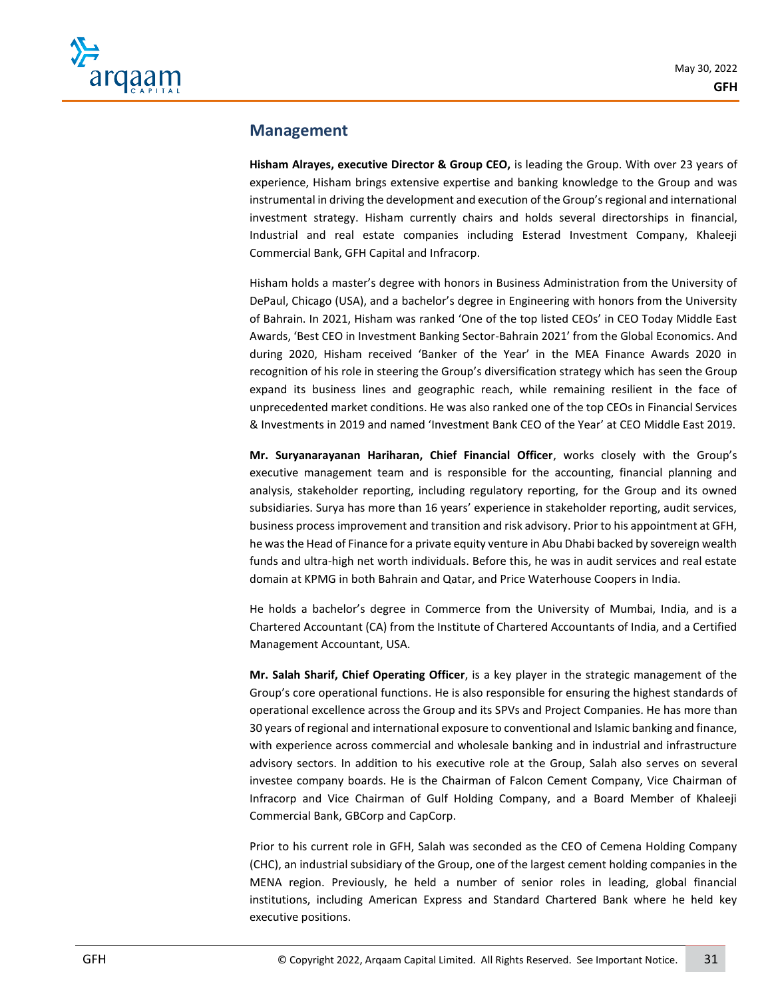

## **Management**

**Hisham Alrayes, executive Director & Group CEO,** is leading the Group. With over 23 years of experience, Hisham brings extensive expertise and banking knowledge to the Group and was instrumental in driving the development and execution of the Group's regional and international investment strategy. Hisham currently chairs and holds several directorships in financial, Industrial and real estate companies including Esterad Investment Company, Khaleeji Commercial Bank, GFH Capital and Infracorp.

Hisham holds a master's degree with honors in Business Administration from the University of DePaul, Chicago (USA), and a bachelor's degree in Engineering with honors from the University of Bahrain. In 2021, Hisham was ranked 'One of the top listed CEOs' in CEO Today Middle East Awards, 'Best CEO in Investment Banking Sector-Bahrain 2021' from the Global Economics. And during 2020, Hisham received 'Banker of the Year' in the MEA Finance Awards 2020 in recognition of his role in steering the Group's diversification strategy which has seen the Group expand its business lines and geographic reach, while remaining resilient in the face of unprecedented market conditions. He was also ranked one of the top CEOs in Financial Services & Investments in 2019 and named 'Investment Bank CEO of the Year' at CEO Middle East 2019.

**Mr. Suryanarayanan Hariharan, Chief Financial Officer**, works closely with the Group's executive management team and is responsible for the accounting, financial planning and analysis, stakeholder reporting, including regulatory reporting, for the Group and its owned subsidiaries. Surya has more than 16 years' experience in stakeholder reporting, audit services, business process improvement and transition and risk advisory. Prior to his appointment at GFH, he was the Head of Finance for a private equity venture in Abu Dhabi backed by sovereign wealth funds and ultra-high net worth individuals. Before this, he was in audit services and real estate domain at KPMG in both Bahrain and Qatar, and Price Waterhouse Coopers in India.

He holds a bachelor's degree in Commerce from the University of Mumbai, India, and is a Chartered Accountant (CA) from the Institute of Chartered Accountants of India, and a Certified Management Accountant, USA.

**Mr. Salah Sharif, Chief Operating Officer**, is a key player in the strategic management of the Group's core operational functions. He is also responsible for ensuring the highest standards of operational excellence across the Group and its SPVs and Project Companies. He has more than 30 years of regional and international exposure to conventional and Islamic banking and finance, with experience across commercial and wholesale banking and in industrial and infrastructure advisory sectors. In addition to his executive role at the Group, Salah also serves on several investee company boards. He is the Chairman of Falcon Cement Company, Vice Chairman of Infracorp and Vice Chairman of Gulf Holding Company, and a Board Member of Khaleeji Commercial Bank, GBCorp and CapCorp.

Prior to his current role in GFH, Salah was seconded as the CEO of Cemena Holding Company (CHC), an industrial subsidiary of the Group, one of the largest cement holding companies in the MENA region. Previously, he held a number of senior roles in leading, global financial institutions, including American Express and Standard Chartered Bank where he held key executive positions.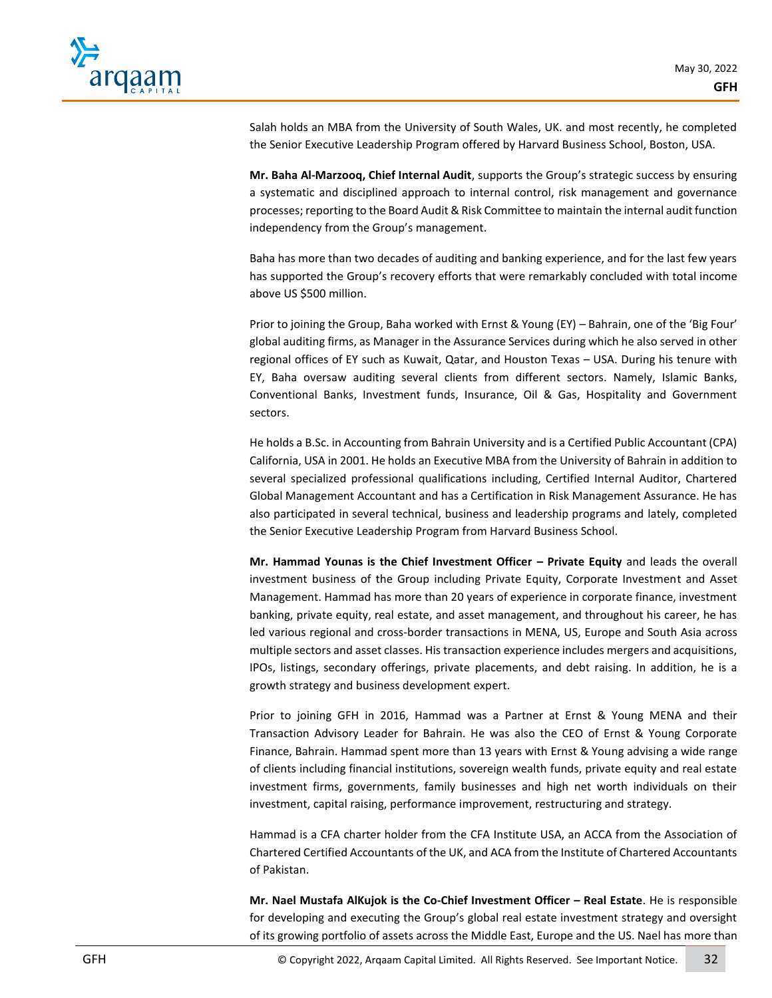

Salah holds an MBA from the University of South Wales, UK. and most recently, he completed the Senior Executive Leadership Program offered by Harvard Business School, Boston, USA.

**Mr. Baha Al-Marzooq, Chief Internal Audit**, supports the Group's strategic success by ensuring a systematic and disciplined approach to internal control, risk management and governance processes; reporting to the Board Audit & Risk Committee to maintain the internal audit function independency from the Group's management.

Baha has more than two decades of auditing and banking experience, and for the last few years has supported the Group's recovery efforts that were remarkably concluded with total income above US \$500 million.

Prior to joining the Group, Baha worked with Ernst & Young (EY) – Bahrain, one of the 'Big Four' global auditing firms, as Manager in the Assurance Services during which he also served in other regional offices of EY such as Kuwait, Qatar, and Houston Texas – USA. During his tenure with EY, Baha oversaw auditing several clients from different sectors. Namely, Islamic Banks, Conventional Banks, Investment funds, Insurance, Oil & Gas, Hospitality and Government sectors.

He holds a B.Sc. in Accounting from Bahrain University and is a Certified Public Accountant (CPA) California, USA in 2001. He holds an Executive MBA from the University of Bahrain in addition to several specialized professional qualifications including, Certified Internal Auditor, Chartered Global Management Accountant and has a Certification in Risk Management Assurance. He has also participated in several technical, business and leadership programs and lately, completed the Senior Executive Leadership Program from Harvard Business School.

**Mr. Hammad Younas is the Chief Investment Officer – Private Equity** and leads the overall investment business of the Group including Private Equity, Corporate Investment and Asset Management. Hammad has more than 20 years of experience in corporate finance, investment banking, private equity, real estate, and asset management, and throughout his career, he has led various regional and cross-border transactions in MENA, US, Europe and South Asia across multiple sectors and asset classes. His transaction experience includes mergers and acquisitions, IPOs, listings, secondary offerings, private placements, and debt raising. In addition, he is a growth strategy and business development expert.

Prior to joining GFH in 2016, Hammad was a Partner at Ernst & Young MENA and their Transaction Advisory Leader for Bahrain. He was also the CEO of Ernst & Young Corporate Finance, Bahrain. Hammad spent more than 13 years with Ernst & Young advising a wide range of clients including financial institutions, sovereign wealth funds, private equity and real estate investment firms, governments, family businesses and high net worth individuals on their investment, capital raising, performance improvement, restructuring and strategy.

Hammad is a CFA charter holder from the CFA Institute USA, an ACCA from the Association of Chartered Certified Accountants of the UK, and ACA from the Institute of Chartered Accountants of Pakistan.

**Mr. Nael Mustafa AlKujok is the Co-Chief Investment Officer – Real Estate**. He is responsible for developing and executing the Group's global real estate investment strategy and oversight of its growing portfolio of assets across the Middle East, Europe and the US. Nael has more than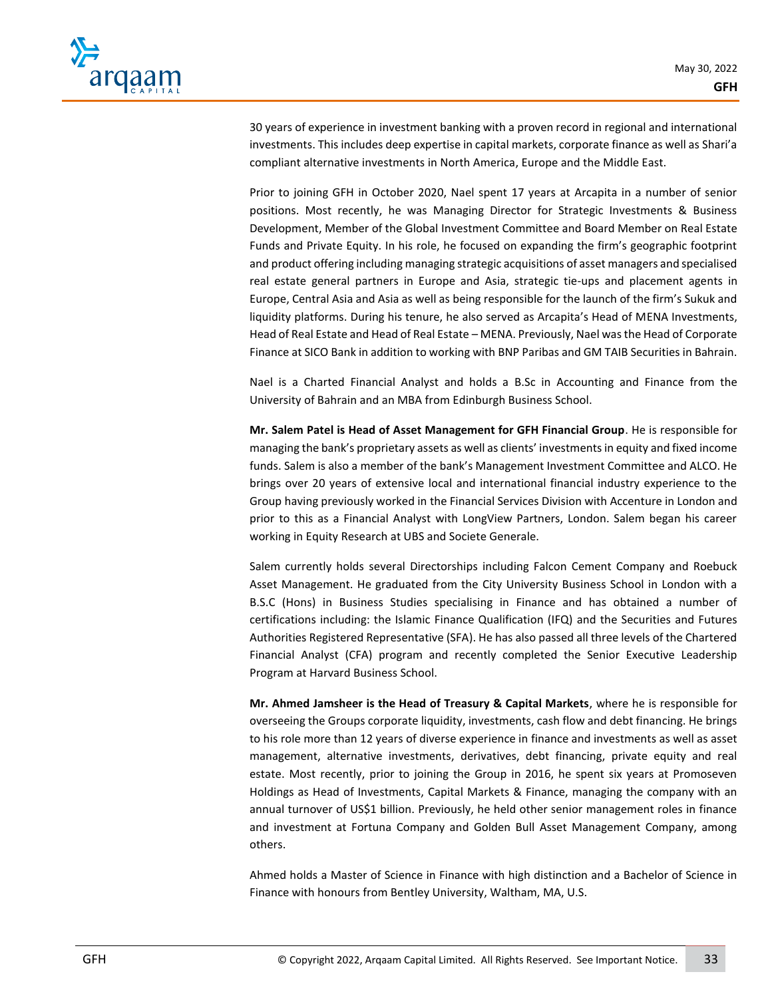

30 years of experience in investment banking with a proven record in regional and international investments. This includes deep expertise in capital markets, corporate finance as well as Shari'a compliant alternative investments in North America, Europe and the Middle East.

Prior to joining GFH in October 2020, Nael spent 17 years at Arcapita in a number of senior positions. Most recently, he was Managing Director for Strategic Investments & Business Development, Member of the Global Investment Committee and Board Member on Real Estate Funds and Private Equity. In his role, he focused on expanding the firm's geographic footprint and product offering including managing strategic acquisitions of asset managers and specialised real estate general partners in Europe and Asia, strategic tie-ups and placement agents in Europe, Central Asia and Asia as well as being responsible for the launch of the firm's Sukuk and liquidity platforms. During his tenure, he also served as Arcapita's Head of MENA Investments, Head of Real Estate and Head of Real Estate – MENA. Previously, Nael was the Head of Corporate Finance at SICO Bank in addition to working with BNP Paribas and GM TAIB Securities in Bahrain.

Nael is a Charted Financial Analyst and holds a B.Sc in Accounting and Finance from the University of Bahrain and an MBA from Edinburgh Business School.

**Mr. Salem Patel is Head of Asset Management for GFH Financial Group**. He is responsible for managing the bank's proprietary assets as well as clients' investments in equity and fixed income funds. Salem is also a member of the bank's Management Investment Committee and ALCO. He brings over 20 years of extensive local and international financial industry experience to the Group having previously worked in the Financial Services Division with Accenture in London and prior to this as a Financial Analyst with LongView Partners, London. Salem began his career working in Equity Research at UBS and Societe Generale.

Salem currently holds several Directorships including Falcon Cement Company and Roebuck Asset Management. He graduated from the City University Business School in London with a B.S.C (Hons) in Business Studies specialising in Finance and has obtained a number of certifications including: the Islamic Finance Qualification (IFQ) and the Securities and Futures Authorities Registered Representative (SFA). He has also passed all three levels of the Chartered Financial Analyst (CFA) program and recently completed the Senior Executive Leadership Program at Harvard Business School.

**Mr. Ahmed Jamsheer is the Head of Treasury & Capital Markets**, where he is responsible for overseeing the Groups corporate liquidity, investments, cash flow and debt financing. He brings to his role more than 12 years of diverse experience in finance and investments as well as asset management, alternative investments, derivatives, debt financing, private equity and real estate. Most recently, prior to joining the Group in 2016, he spent six years at Promoseven Holdings as Head of Investments, Capital Markets & Finance, managing the company with an annual turnover of US\$1 billion. Previously, he held other senior management roles in finance and investment at Fortuna Company and Golden Bull Asset Management Company, among others.

Ahmed holds a Master of Science in Finance with high distinction and a Bachelor of Science in Finance with honours from Bentley University, Waltham, MA, U.S.